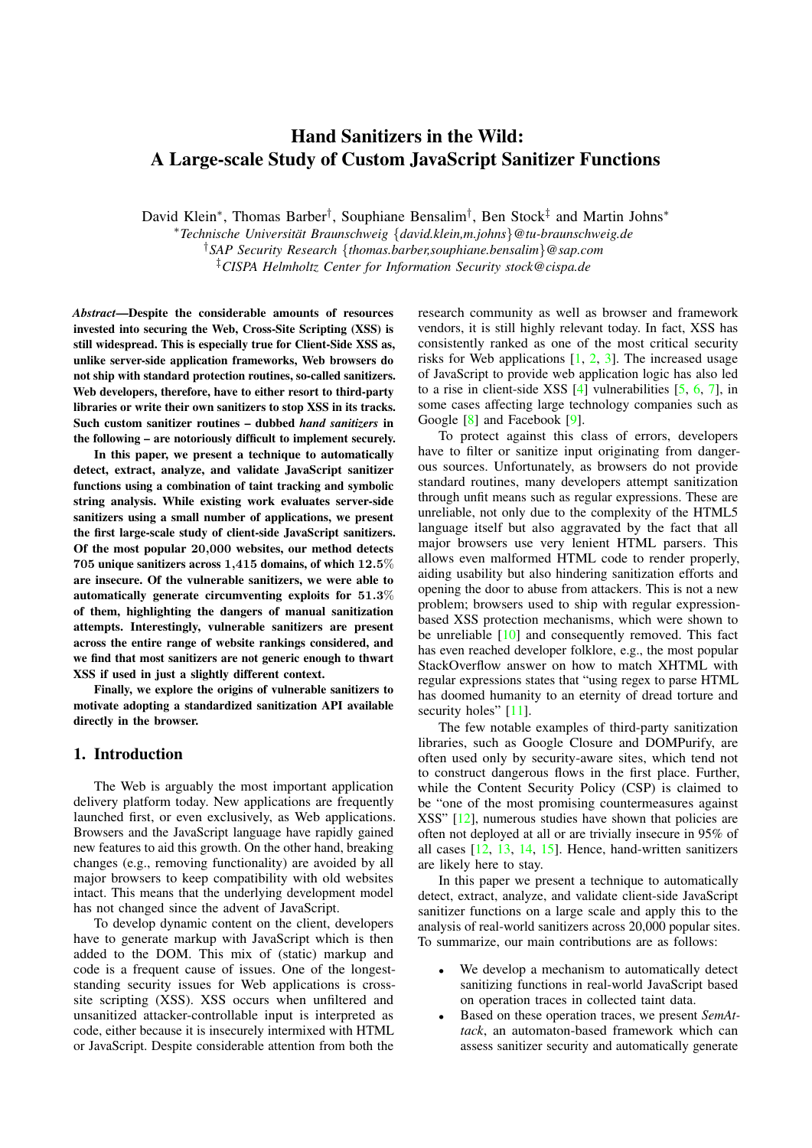# Hand Sanitizers in the Wild: A Large-scale Study of Custom JavaScript Sanitizer Functions

David Klein<sup>∗</sup>, Thomas Barber<sup>†</sup>, Souphiane Bensalim<sup>†</sup>, Ben Stock<sup>‡</sup> and Martin Johns<sup>∗</sup>

<sup>∗</sup>*Technische Universitat Braunschweig ¨* {*david.klein,m.johns*}*@tu-braunschweig.de*

†*SAP Security Research* {*thomas.barber,souphiane.bensalim*}*@sap.com* ‡*CISPA Helmholtz Center for Information Security stock@cispa.de*

*Abstract*—Despite the considerable amounts of resources invested into securing the Web, Cross-Site Scripting (XSS) is still widespread. This is especially true for Client-Side XSS as, unlike server-side application frameworks, Web browsers do not ship with standard protection routines, so-called sanitizers. Web developers, therefore, have to either resort to third-party libraries or write their own sanitizers to stop XSS in its tracks. Such custom sanitizer routines – dubbed *hand sanitizers* in the following – are notoriously difficult to implement securely.

In this paper, we present a technique to automatically detect, extract, analyze, and validate JavaScript sanitizer functions using a combination of taint tracking and symbolic string analysis. While existing work evaluates server-side sanitizers using a small number of applications, we present the first large-scale study of client-side JavaScript sanitizers. Of the most popular 20,000 websites, our method detects 705 unique sanitizers across 1,415 domains, of which 12.5% are insecure. Of the vulnerable sanitizers, we were able to automatically generate circumventing exploits for 51.3% of them, highlighting the dangers of manual sanitization attempts. Interestingly, vulnerable sanitizers are present across the entire range of website rankings considered, and we find that most sanitizers are not generic enough to thwart XSS if used in just a slightly different context.

Finally, we explore the origins of vulnerable sanitizers to motivate adopting a standardized sanitization API available directly in the browser.

## 1. Introduction

The Web is arguably the most important application delivery platform today. New applications are frequently launched first, or even exclusively, as Web applications. Browsers and the JavaScript language have rapidly gained new features to aid this growth. On the other hand, breaking changes (e.g., removing functionality) are avoided by all major browsers to keep compatibility with old websites intact. This means that the underlying development model has not changed since the advent of JavaScript.

To develop dynamic content on the client, developers have to generate markup with JavaScript which is then added to the DOM. This mix of (static) markup and code is a frequent cause of issues. One of the longeststanding security issues for Web applications is crosssite scripting (XSS). XSS occurs when unfiltered and unsanitized attacker-controllable input is interpreted as code, either because it is insecurely intermixed with HTML or JavaScript. Despite considerable attention from both the research community as well as browser and framework vendors, it is still highly relevant today. In fact, XSS has consistently ranked as one of the most critical security risks for Web applications  $[1, 2, 3]$  $[1, 2, 3]$  $[1, 2, 3]$  $[1, 2, 3]$  $[1, 2, 3]$ . The increased usage of JavaScript to provide web application logic has also led to a rise in client-side XSS  $[4]$  vulnerabilities  $[5, 6, 7]$  $[5, 6, 7]$  $[5, 6, 7]$  $[5, 6, 7]$  $[5, 6, 7]$ , in some cases affecting large technology companies such as Google [\[8\]](#page-14-1) and Facebook [\[9\]](#page-14-2).

To protect against this class of errors, developers have to filter or sanitize input originating from dangerous sources. Unfortunately, as browsers do not provide standard routines, many developers attempt sanitization through unfit means such as regular expressions. These are unreliable, not only due to the complexity of the HTML5 language itself but also aggravated by the fact that all major browsers use very lenient HTML parsers. This allows even malformed HTML code to render properly, aiding usability but also hindering sanitization efforts and opening the door to abuse from attackers. This is not a new problem; browsers used to ship with regular expressionbased XSS protection mechanisms, which were shown to be unreliable [\[10\]](#page-14-3) and consequently removed. This fact has even reached developer folklore, e.g., the most popular StackOverflow answer on how to match XHTML with regular expressions states that "using regex to parse HTML has doomed humanity to an eternity of dread torture and security holes" [\[11\]](#page-14-4).

The few notable examples of third-party sanitization libraries, such as Google Closure and DOMPurify, are often used only by security-aware sites, which tend not to construct dangerous flows in the first place. Further, while the Content Security Policy (CSP) is claimed to be "one of the most promising countermeasures against XSS" [\[12\]](#page-14-5), numerous studies have shown that policies are often not deployed at all or are trivially insecure in 95% of all cases [\[12,](#page-14-5) [13,](#page-14-6) [14,](#page-14-7) [15\]](#page-14-8). Hence, hand-written sanitizers are likely here to stay.

In this paper we present a technique to automatically detect, extract, analyze, and validate client-side JavaScript sanitizer functions on a large scale and apply this to the analysis of real-world sanitizers across 20,000 popular sites. To summarize, our main contributions are as follows:

- We develop a mechanism to automatically detect sanitizing functions in real-world JavaScript based on operation traces in collected taint data.
- Based on these operation traces, we present *SemAttack*, an automaton-based framework which can assess sanitizer security and automatically generate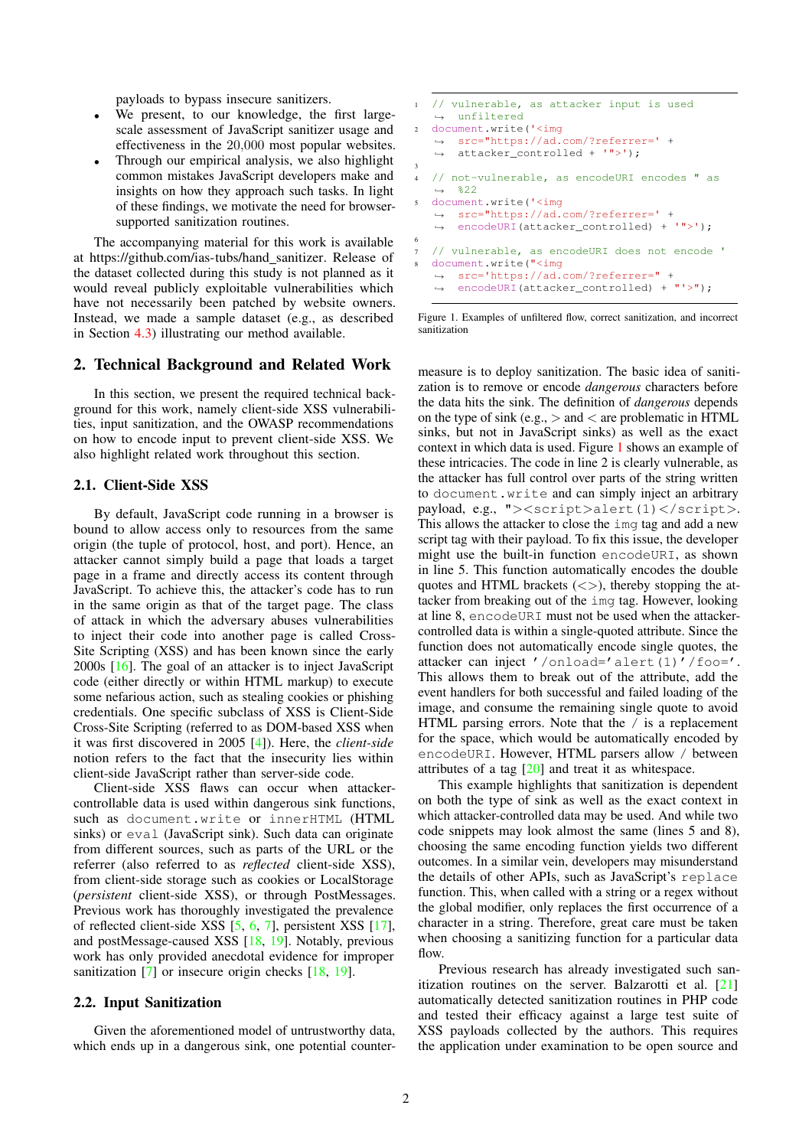payloads to bypass insecure sanitizers.

- We present, to our knowledge, the first largescale assessment of JavaScript sanitizer usage and effectiveness in the 20,000 most popular websites.
- Through our empirical analysis, we also highlight common mistakes JavaScript developers make and insights on how they approach such tasks. In light of these findings, we motivate the need for browsersupported sanitization routines.

The accompanying material for this work is available at [https://github.com/ias-tubs/hand](https://github.com/ias-tubs/hand_sanitizer) sanitizer. Release of the dataset collected during this study is not planned as it would reveal publicly exploitable vulnerabilities which have not necessarily been patched by website owners. Instead, we made a sample dataset (e.g., as described in Section [4.3\)](#page-9-0) illustrating our method available.

# <span id="page-1-1"></span>2. Technical Background and Related Work

In this section, we present the required technical background for this work, namely client-side XSS vulnerabilities, input sanitization, and the OWASP recommendations on how to encode input to prevent client-side XSS. We also highlight related work throughout this section.

#### 2.1. Client-Side XSS

By default, JavaScript code running in a browser is bound to allow access only to resources from the same origin (the tuple of protocol, host, and port). Hence, an attacker cannot simply build a page that loads a target page in a frame and directly access its content through JavaScript. To achieve this, the attacker's code has to run in the same origin as that of the target page. The class of attack in which the adversary abuses vulnerabilities to inject their code into another page is called Cross-Site Scripting (XSS) and has been known since the early 2000s [\[16\]](#page-14-9). The goal of an attacker is to inject JavaScript code (either directly or within HTML markup) to execute some nefarious action, such as stealing cookies or phishing credentials. One specific subclass of XSS is Client-Side Cross-Site Scripting (referred to as DOM-based XSS when it was first discovered in 2005 [\[4\]](#page-13-3)). Here, the *client-side* notion refers to the fact that the insecurity lies within client-side JavaScript rather than server-side code.

Client-side XSS flaws can occur when attackercontrollable data is used within dangerous sink functions, such as document.write or innerHTML (HTML sinks) or eval (JavaScript sink). Such data can originate from different sources, such as parts of the URL or the referrer (also referred to as *reflected* client-side XSS), from client-side storage such as cookies or LocalStorage (*persistent* client-side XSS), or through PostMessages. Previous work has thoroughly investigated the prevalence of reflected client-side XSS [\[5,](#page-13-4) [6,](#page-13-5) [7\]](#page-14-0), persistent XSS [\[17\]](#page-14-10), and postMessage-caused XSS [\[18,](#page-14-11) [19\]](#page-14-12). Notably, previous work has only provided anecdotal evidence for improper sanitization [\[7\]](#page-14-0) or insecure origin checks [\[18,](#page-14-11) [19\]](#page-14-12).

#### 2.2. Input Sanitization

Given the aforementioned model of untrustworthy data, which ends up in a dangerous sink, one potential counter-

```
1 // vulnerable, as attacker input is used
   ,→ unfiltered
2 document.write('<img
   → src="https://ad.com/?referrer=' +
   → attacker_controlled + '">');
3
4 // not-vulnerable, as encodeURI encodes " as
   \leftrightarrow \frac{822}{2}5 document.write('<img
   → src="https://ad.com/?referrer=' +
       encodeURI(attacker_controlled) + '">');
   \rightarrow6
7 // vulnerable, as encodeURI does not encode '
  8 document.write("<img
   → src='https://ad.com/?referrer=" +
      encodeURI(attacker_controlled) + "'>");
   \rightarrow
```
<span id="page-1-0"></span>Figure 1. Examples of unfiltered flow, correct sanitization, and incorrect sanitization

measure is to deploy sanitization. The basic idea of sanitization is to remove or encode *dangerous* characters before the data hits the sink. The definition of *dangerous* depends on the type of sink (e.g.,  $>$  and  $<$  are problematic in HTML sinks, but not in JavaScript sinks) as well as the exact context in which data is used. Figure [1](#page-1-0) shows an example of these intricacies. The code in line 2 is clearly vulnerable, as the attacker has full control over parts of the string written to document.write and can simply inject an arbitrary payload, e.g., "><script>alert(1)</script>. This allows the attacker to close the img tag and add a new script tag with their payload. To fix this issue, the developer might use the built-in function encodeURI, as shown in line 5. This function automatically encodes the double quotes and HTML brackets  $(\langle \rangle)$ , thereby stopping the attacker from breaking out of the img tag. However, looking at line 8, encodeURI must not be used when the attackercontrolled data is within a single-quoted attribute. Since the function does not automatically encode single quotes, the attacker can inject '/onload='alert(1)'/foo='. This allows them to break out of the attribute, add the event handlers for both successful and failed loading of the image, and consume the remaining single quote to avoid HTML parsing errors. Note that the / is a replacement for the space, which would be automatically encoded by encodeURI. However, HTML parsers allow / between attributes of a tag  $[20]$  and treat it as whitespace.

This example highlights that sanitization is dependent on both the type of sink as well as the exact context in which attacker-controlled data may be used. And while two code snippets may look almost the same (lines 5 and 8), choosing the same encoding function yields two different outcomes. In a similar vein, developers may misunderstand the details of other APIs, such as JavaScript's replace function. This, when called with a string or a regex without the global modifier, only replaces the first occurrence of a character in a string. Therefore, great care must be taken when choosing a sanitizing function for a particular data flow.

Previous research has already investigated such san-itization routines on the server. Balzarotti et al. [\[21\]](#page-14-14) automatically detected sanitization routines in PHP code and tested their efficacy against a large test suite of XSS payloads collected by the authors. This requires the application under examination to be open source and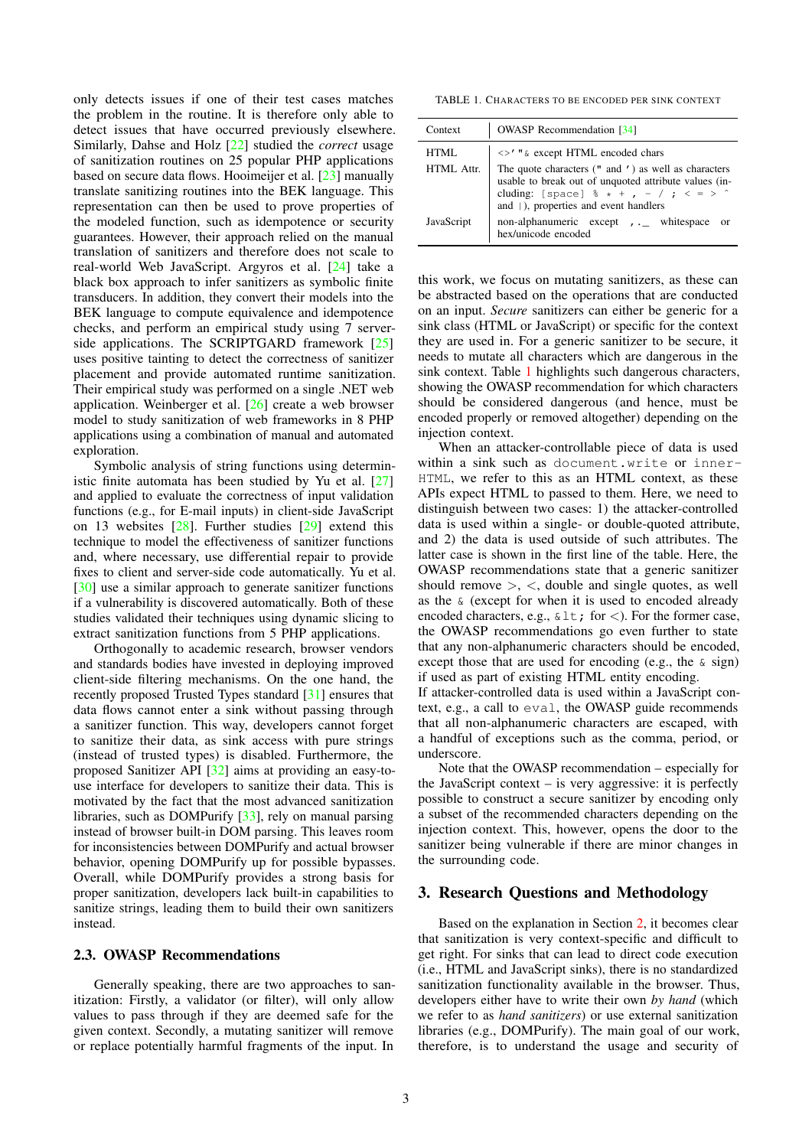only detects issues if one of their test cases matches the problem in the routine. It is therefore only able to detect issues that have occurred previously elsewhere. Similarly, Dahse and Holz [\[22\]](#page-14-15) studied the *correct* usage of sanitization routines on 25 popular PHP applications based on secure data flows. Hooimeijer et al. [\[23\]](#page-14-16) manually translate sanitizing routines into the BEK language. This representation can then be used to prove properties of the modeled function, such as idempotence or security guarantees. However, their approach relied on the manual translation of sanitizers and therefore does not scale to real-world Web JavaScript. Argyros et al. [\[24\]](#page-14-17) take a black box approach to infer sanitizers as symbolic finite transducers. In addition, they convert their models into the BEK language to compute equivalence and idempotence checks, and perform an empirical study using 7 serverside applications. The SCRIPTGARD framework [\[25\]](#page-14-18) uses positive tainting to detect the correctness of sanitizer placement and provide automated runtime sanitization. Their empirical study was performed on a single .NET web application. Weinberger et al. [\[26\]](#page-14-19) create a web browser model to study sanitization of web frameworks in 8 PHP applications using a combination of manual and automated exploration.

Symbolic analysis of string functions using deterministic finite automata has been studied by Yu et al. [\[27\]](#page-14-20) and applied to evaluate the correctness of input validation functions (e.g., for E-mail inputs) in client-side JavaScript on 13 websites [\[28\]](#page-14-21). Further studies [\[29\]](#page-14-22) extend this technique to model the effectiveness of sanitizer functions and, where necessary, use differential repair to provide fixes to client and server-side code automatically. Yu et al. [\[30\]](#page-14-23) use a similar approach to generate sanitizer functions if a vulnerability is discovered automatically. Both of these studies validated their techniques using dynamic slicing to extract sanitization functions from 5 PHP applications.

Orthogonally to academic research, browser vendors and standards bodies have invested in deploying improved client-side filtering mechanisms. On the one hand, the recently proposed Trusted Types standard [\[31\]](#page-14-24) ensures that data flows cannot enter a sink without passing through a sanitizer function. This way, developers cannot forget to sanitize their data, as sink access with pure strings (instead of trusted types) is disabled. Furthermore, the proposed Sanitizer API [\[32\]](#page-14-25) aims at providing an easy-touse interface for developers to sanitize their data. This is motivated by the fact that the most advanced sanitization libraries, such as DOMPurify [\[33\]](#page-14-26), rely on manual parsing instead of browser built-in DOM parsing. This leaves room for inconsistencies between DOMPurify and actual browser behavior, opening DOMPurify up for possible bypasses. Overall, while DOMPurify provides a strong basis for proper sanitization, developers lack built-in capabilities to sanitize strings, leading them to build their own sanitizers instead.

# <span id="page-2-1"></span>2.3. OWASP Recommendations

Generally speaking, there are two approaches to sanitization: Firstly, a validator (or filter), will only allow values to pass through if they are deemed safe for the given context. Secondly, a mutating sanitizer will remove or replace potentially harmful fragments of the input. In

<span id="page-2-0"></span>TABLE 1. CHARACTERS TO BE ENCODED PER SINK CONTEXT

| Context    | <b>OWASP</b> Recommendation [34]                                                                                                                                                                             |
|------------|--------------------------------------------------------------------------------------------------------------------------------------------------------------------------------------------------------------|
| HTML.      | <>' " & except HTML encoded chars                                                                                                                                                                            |
| HTML Attr  | The quote characters (" and ') as well as characters<br>usable to break out of unquoted attribute values (in-<br>cluding: [space] $\frac{1}{6}$ * + , - / ; < = > ^<br>and (), properties and event handlers |
| JavaScript | non-alphanumeric except , _ whitespace<br>- or<br>hex/unicode encoded                                                                                                                                        |

this work, we focus on mutating sanitizers, as these can be abstracted based on the operations that are conducted on an input. *Secure* sanitizers can either be generic for a sink class (HTML or JavaScript) or specific for the context they are used in. For a generic sanitizer to be secure, it needs to mutate all characters which are dangerous in the sink context. Table [1](#page-2-0) highlights such dangerous characters, showing the OWASP recommendation for which characters should be considered dangerous (and hence, must be encoded properly or removed altogether) depending on the injection context.

When an attacker-controllable piece of data is used within a sink such as document.write or inner-HTML, we refer to this as an HTML context, as these APIs expect HTML to passed to them. Here, we need to distinguish between two cases: 1) the attacker-controlled data is used within a single- or double-quoted attribute, and 2) the data is used outside of such attributes. The latter case is shown in the first line of the table. Here, the OWASP recommendations state that a generic sanitizer should remove  $\geq$ ,  $\lt$ , double and single quotes, as well as the & (except for when it is used to encoded already encoded characters, e.g.,  $\&$  l t; for <). For the former case, the OWASP recommendations go even further to state that any non-alphanumeric characters should be encoded, except those that are used for encoding (e.g., the  $\&$  sign) if used as part of existing HTML entity encoding.

If attacker-controlled data is used within a JavaScript context, e.g., a call to eval, the OWASP guide recommends that all non-alphanumeric characters are escaped, with a handful of exceptions such as the comma, period, or underscore.

Note that the OWASP recommendation – especially for the JavaScript context – is very aggressive: it is perfectly possible to construct a secure sanitizer by encoding only a subset of the recommended characters depending on the injection context. This, however, opens the door to the sanitizer being vulnerable if there are minor changes in the surrounding code.

## <span id="page-2-2"></span>3. Research Questions and Methodology

Based on the explanation in Section [2,](#page-1-1) it becomes clear that sanitization is very context-specific and difficult to get right. For sinks that can lead to direct code execution (i.e., HTML and JavaScript sinks), there is no standardized sanitization functionality available in the browser. Thus, developers either have to write their own *by hand* (which we refer to as *hand sanitizers*) or use external sanitization libraries (e.g., DOMPurify). The main goal of our work, therefore, is to understand the usage and security of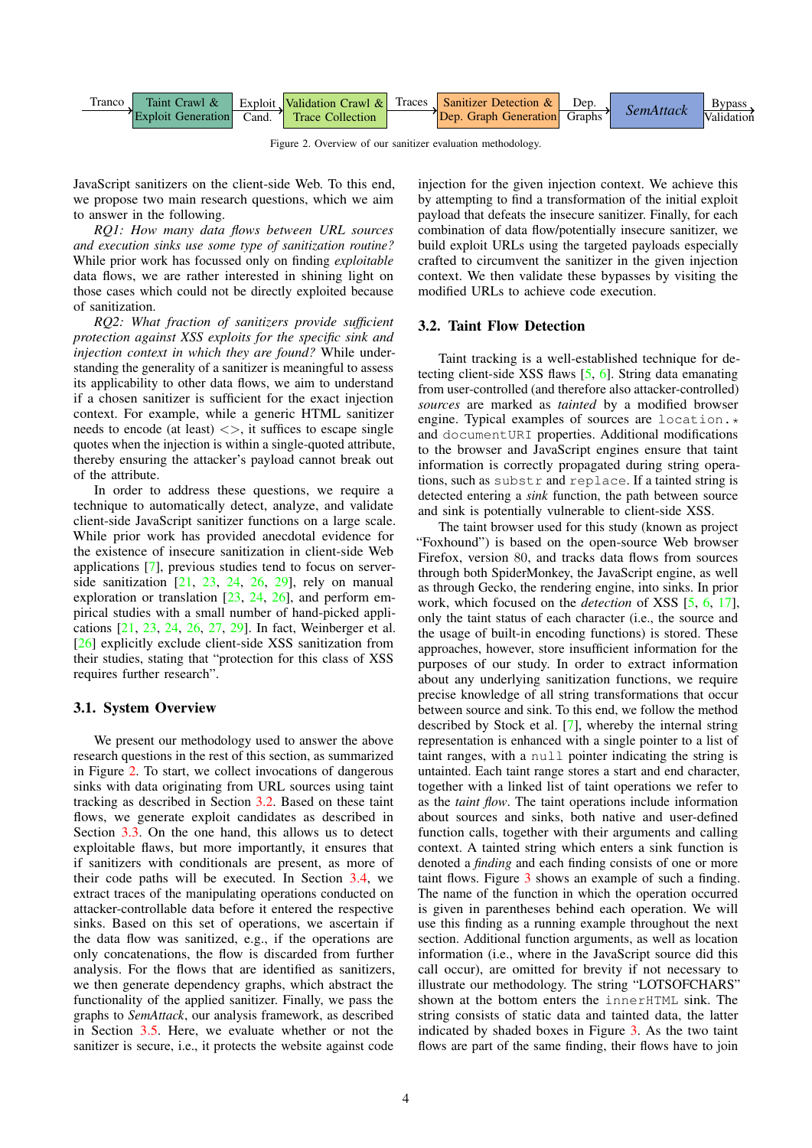

Figure 2. Overview of our sanitizer evaluation methodology.

JavaScript sanitizers on the client-side Web. To this end, we propose two main research questions, which we aim to answer in the following.

*RQ1: How many data flows between URL sources and execution sinks use some type of sanitization routine?* While prior work has focussed only on finding *exploitable* data flows, we are rather interested in shining light on those cases which could not be directly exploited because of sanitization.

*RQ2: What fraction of sanitizers provide sufficient protection against XSS exploits for the specific sink and injection context in which they are found?* While understanding the generality of a sanitizer is meaningful to assess its applicability to other data flows, we aim to understand if a chosen sanitizer is sufficient for the exact injection context. For example, while a generic HTML sanitizer needs to encode (at least)  $\langle \rangle$ , it suffices to escape single quotes when the injection is within a single-quoted attribute, thereby ensuring the attacker's payload cannot break out of the attribute.

In order to address these questions, we require a technique to automatically detect, analyze, and validate client-side JavaScript sanitizer functions on a large scale. While prior work has provided anecdotal evidence for the existence of insecure sanitization in client-side Web applications [\[7\]](#page-14-0), previous studies tend to focus on serverside sanitization [\[21,](#page-14-14) [23,](#page-14-16) [24,](#page-14-17) [26,](#page-14-19) [29\]](#page-14-22), rely on manual exploration or translation [\[23,](#page-14-16) [24,](#page-14-17) [26\]](#page-14-19), and perform empirical studies with a small number of hand-picked applications [\[21,](#page-14-14) [23,](#page-14-16) [24,](#page-14-17) [26,](#page-14-19) [27,](#page-14-20) [29\]](#page-14-22). In fact, Weinberger et al. [\[26\]](#page-14-19) explicitly exclude client-side XSS sanitization from their studies, stating that "protection for this class of XSS requires further research".

#### 3.1. System Overview

We present our methodology used to answer the above research questions in the rest of this section, as summarized in Figure [2.](#page-3-0) To start, we collect invocations of dangerous sinks with data originating from URL sources using taint tracking as described in Section [3.2.](#page-3-1) Based on these taint flows, we generate exploit candidates as described in Section [3.3.](#page-4-0) On the one hand, this allows us to detect exploitable flaws, but more importantly, it ensures that if sanitizers with conditionals are present, as more of their code paths will be executed. In Section [3.4,](#page-4-1) we extract traces of the manipulating operations conducted on attacker-controllable data before it entered the respective sinks. Based on this set of operations, we ascertain if the data flow was sanitized, e.g., if the operations are only concatenations, the flow is discarded from further analysis. For the flows that are identified as sanitizers, we then generate dependency graphs, which abstract the functionality of the applied sanitizer. Finally, we pass the graphs to *SemAttack*, our analysis framework, as described in Section [3.5.](#page-6-0) Here, we evaluate whether or not the sanitizer is secure, i.e., it protects the website against code <span id="page-3-0"></span>injection for the given injection context. We achieve this by attempting to find a transformation of the initial exploit payload that defeats the insecure sanitizer. Finally, for each combination of data flow/potentially insecure sanitizer, we build exploit URLs using the targeted payloads especially crafted to circumvent the sanitizer in the given injection context. We then validate these bypasses by visiting the modified URLs to achieve code execution.

## <span id="page-3-1"></span>3.2. Taint Flow Detection

Taint tracking is a well-established technique for detecting client-side XSS flaws [\[5,](#page-13-4) [6\]](#page-13-5). String data emanating from user-controlled (and therefore also attacker-controlled) *sources* are marked as *tainted* by a modified browser engine. Typical examples of sources are location.\* and documentURI properties. Additional modifications to the browser and JavaScript engines ensure that taint information is correctly propagated during string operations, such as substr and replace. If a tainted string is detected entering a *sink* function, the path between source and sink is potentially vulnerable to client-side XSS.

The taint browser used for this study (known as project "Foxhound") is based on the open-source Web browser Firefox, version 80, and tracks data flows from sources through both SpiderMonkey, the JavaScript engine, as well as through Gecko, the rendering engine, into sinks. In prior work, which focused on the *detection* of XSS [\[5,](#page-13-4) [6,](#page-13-5) [17\]](#page-14-10), only the taint status of each character (i.e., the source and the usage of built-in encoding functions) is stored. These approaches, however, store insufficient information for the purposes of our study. In order to extract information about any underlying sanitization functions, we require precise knowledge of all string transformations that occur between source and sink. To this end, we follow the method described by Stock et al. [\[7\]](#page-14-0), whereby the internal string representation is enhanced with a single pointer to a list of taint ranges, with a null pointer indicating the string is untainted. Each taint range stores a start and end character, together with a linked list of taint operations we refer to as the *taint flow*. The taint operations include information about sources and sinks, both native and user-defined function calls, together with their arguments and calling context. A tainted string which enters a sink function is denoted a *finding* and each finding consists of one or more taint flows. Figure [3](#page-4-2) shows an example of such a finding. The name of the function in which the operation occurred is given in parentheses behind each operation. We will use this finding as a running example throughout the next section. Additional function arguments, as well as location information (i.e., where in the JavaScript source did this call occur), are omitted for brevity if not necessary to illustrate our methodology. The string "LOTSOFCHARS" shown at the bottom enters the innerHTML sink. The string consists of static data and tainted data, the latter indicated by shaded boxes in Figure [3.](#page-4-2) As the two taint flows are part of the same finding, their flows have to join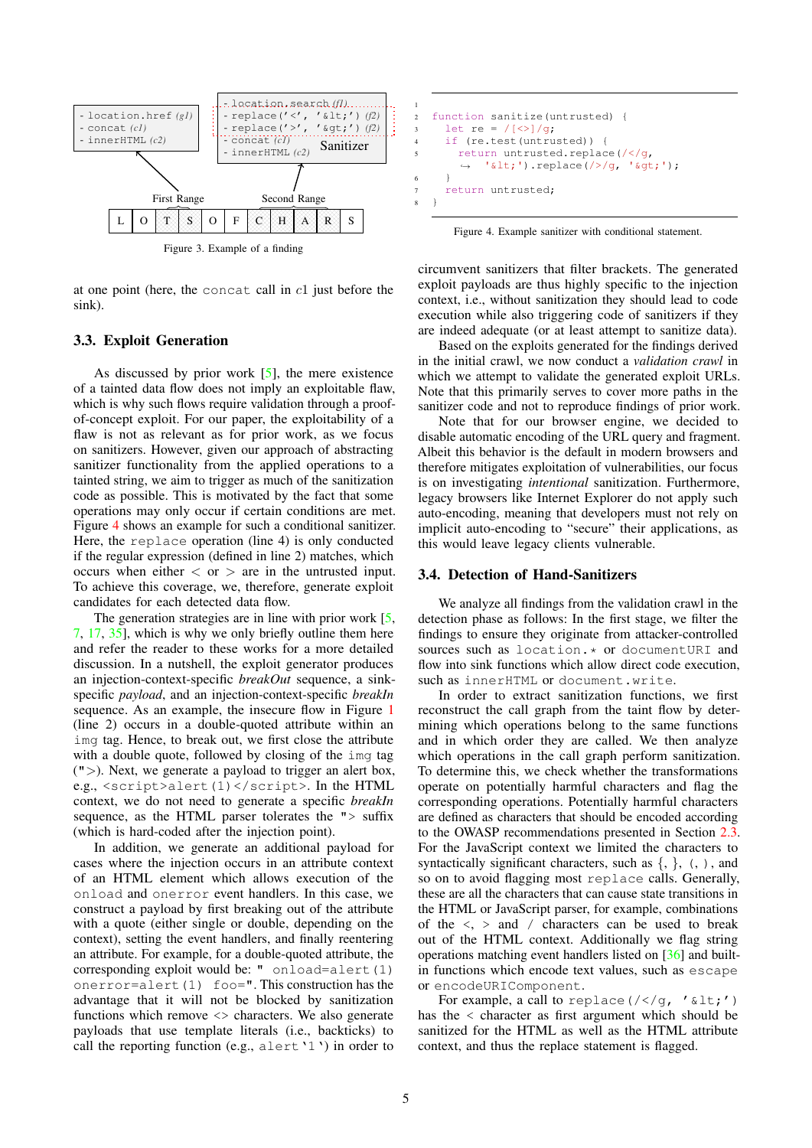

Figure 3. Example of a finding

at one point (here, the concat call in  $c1$  just before the sink).

# <span id="page-4-0"></span>3.3. Exploit Generation

As discussed by prior work  $[5]$ , the mere existence of a tainted data flow does not imply an exploitable flaw, which is why such flows require validation through a proofof-concept exploit. For our paper, the exploitability of a flaw is not as relevant as for prior work, as we focus on sanitizers. However, given our approach of abstracting sanitizer functionality from the applied operations to a tainted string, we aim to trigger as much of the sanitization code as possible. This is motivated by the fact that some operations may only occur if certain conditions are met. Figure [4](#page-4-3) shows an example for such a conditional sanitizer. Here, the replace operation (line 4) is only conducted if the regular expression (defined in line 2) matches, which occurs when either  $\langle$  or  $\rangle$  are in the untrusted input. To achieve this coverage, we, therefore, generate exploit candidates for each detected data flow.

The generation strategies are in line with prior work [\[5,](#page-13-4) [7,](#page-14-0) [17,](#page-14-10) [35\]](#page-14-28), which is why we only briefly outline them here and refer the reader to these works for a more detailed discussion. In a nutshell, the exploit generator produces an injection-context-specific *breakOut* sequence, a sinkspecific *payload*, and an injection-context-specific *breakIn* sequence. As an example, the insecure flow in Figure [1](#page-1-0) (line 2) occurs in a double-quoted attribute within an img tag. Hence, to break out, we first close the attribute with a double quote, followed by closing of the img tag  $(")$ . Next, we generate a payload to trigger an alert box, e.g., <script>alert(1)</script>. In the HTML context, we do not need to generate a specific *breakIn* sequence, as the HTML parser tolerates the "> suffix (which is hard-coded after the injection point).

In addition, we generate an additional payload for cases where the injection occurs in an attribute context of an HTML element which allows execution of the onload and onerror event handlers. In this case, we construct a payload by first breaking out of the attribute with a quote (either single or double, depending on the context), setting the event handlers, and finally reentering an attribute. For example, for a double-quoted attribute, the corresponding exploit would be: " onload=alert(1) onerror=alert $(1)$  foo=". This construction has the advantage that it will not be blocked by sanitization functions which remove <> characters. We also generate payloads that use template literals (i.e., backticks) to call the reporting function (e.g., alert '1') in order to

```
1
2 function sanitize(untrusted) {
3 let re = /[\langle>]/q;
4 if (re.test(untrusted)) {
5 return untrusted.replace(/</g,
       → '<').replace(/>/g, '&gt;');
6 }
7 return untrusted;
  8 }
```
<span id="page-4-3"></span>Figure 4. Example sanitizer with conditional statement.

<span id="page-4-2"></span>circumvent sanitizers that filter brackets. The generated exploit payloads are thus highly specific to the injection context, i.e., without sanitization they should lead to code execution while also triggering code of sanitizers if they are indeed adequate (or at least attempt to sanitize data).

Based on the exploits generated for the findings derived in the initial crawl, we now conduct a *validation crawl* in which we attempt to validate the generated exploit URLs. Note that this primarily serves to cover more paths in the sanitizer code and not to reproduce findings of prior work.

Note that for our browser engine, we decided to disable automatic encoding of the URL query and fragment. Albeit this behavior is the default in modern browsers and therefore mitigates exploitation of vulnerabilities, our focus is on investigating *intentional* sanitization. Furthermore, legacy browsers like Internet Explorer do not apply such auto-encoding, meaning that developers must not rely on implicit auto-encoding to "secure" their applications, as this would leave legacy clients vulnerable.

#### <span id="page-4-1"></span>3.4. Detection of Hand-Sanitizers

We analyze all findings from the validation crawl in the detection phase as follows: In the first stage, we filter the findings to ensure they originate from attacker-controlled sources such as location.\* or documentURI and flow into sink functions which allow direct code execution, such as innerHTML or document.write.

In order to extract sanitization functions, we first reconstruct the call graph from the taint flow by determining which operations belong to the same functions and in which order they are called. We then analyze which operations in the call graph perform sanitization. To determine this, we check whether the transformations operate on potentially harmful characters and flag the corresponding operations. Potentially harmful characters are defined as characters that should be encoded according to the OWASP recommendations presented in Section [2.3.](#page-2-1) For the JavaScript context we limited the characters to syntactically significant characters, such as  $\{, \}$ ,  $\{, \}$ ,  $\{, \}$ , and so on to avoid flagging most replace calls. Generally, these are all the characters that can cause state transitions in the HTML or JavaScript parser, for example, combinations of the  $\langle \rangle$  and / characters can be used to break out of the HTML context. Additionally we flag string operations matching event handlers listed on [\[36\]](#page-14-29) and builtin functions which encode text values, such as escape or encodeURIComponent.

For example, a call to replace  $\frac{\sqrt{2}}{2}$ , '<') has the < character as first argument which should be sanitized for the HTML as well as the HTML attribute context, and thus the replace statement is flagged.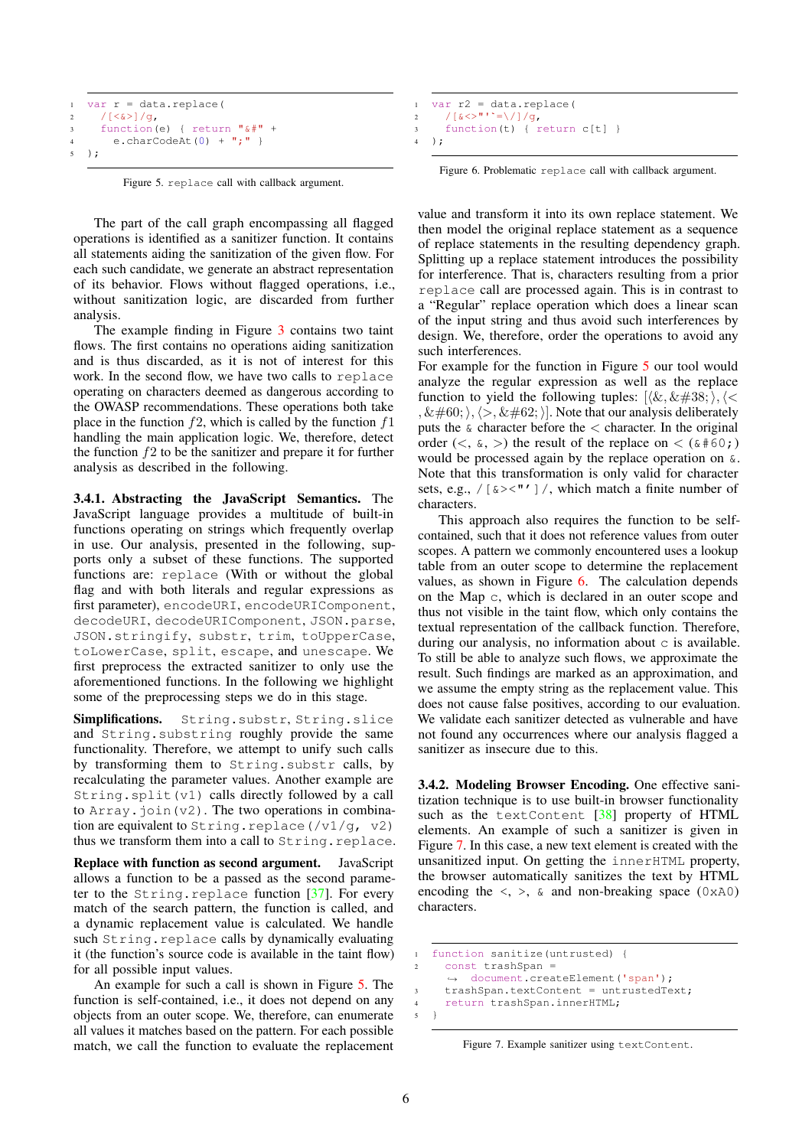```
1 var r = data.replace(
2 / [<\&>]</math>/g,3 function(e) { return "\&\text{#}" +
4 e.charCodeAt(0) + ";" }
5 );
```
<span id="page-5-0"></span>Figure 5. replace call with callback argument.

The part of the call graph encompassing all flagged operations is identified as a sanitizer function. It contains all statements aiding the sanitization of the given flow. For each such candidate, we generate an abstract representation of its behavior. Flows without flagged operations, i.e., without sanitization logic, are discarded from further analysis.

The example finding in Figure [3](#page-4-2) contains two taint flows. The first contains no operations aiding sanitization and is thus discarded, as it is not of interest for this work. In the second flow, we have two calls to replace operating on characters deemed as dangerous according to the OWASP recommendations. These operations both take place in the function  $f2$ , which is called by the function  $f1$ handling the main application logic. We, therefore, detect the function  $f2$  to be the sanitizer and prepare it for further analysis as described in the following.

3.4.1. Abstracting the JavaScript Semantics. The JavaScript language provides a multitude of built-in functions operating on strings which frequently overlap in use. Our analysis, presented in the following, supports only a subset of these functions. The supported functions are: replace (With or without the global flag and with both literals and regular expressions as first parameter), encodeURI, encodeURIComponent, decodeURI, decodeURIComponent, JSON.parse, JSON.stringify, substr, trim, toUpperCase, toLowerCase, split, escape, and unescape. We first preprocess the extracted sanitizer to only use the aforementioned functions. In the following we highlight some of the preprocessing steps we do in this stage.

Simplifications. String.substr, String.slice and String.substring roughly provide the same functionality. Therefore, we attempt to unify such calls by transforming them to String.substr calls, by recalculating the parameter values. Another example are String.split(v1) calls directly followed by a call to  $Array$ . join( $v2$ ). The two operations in combination are equivalent to String.replace( $\sqrt{v1/q}$ , v2) thus we transform them into a call to String.replace.

Replace with function as second argument. JavaScript allows a function to be a passed as the second parameter to the String.replace function  $[37]$ . For every match of the search pattern, the function is called, and a dynamic replacement value is calculated. We handle such String.replace calls by dynamically evaluating it (the function's source code is available in the taint flow) for all possible input values.

An example for such a call is shown in Figure [5.](#page-5-0) The function is self-contained, i.e., it does not depend on any objects from an outer scope. We, therefore, can enumerate all values it matches based on the pattern. For each possible match, we call the function to evaluate the replacement

```
1 var r2 = data.replace(
2 / \left[ \frac{\< \;}{\< \;} \right]^n / \left[ \frac{\< \;}{\< \;} \right]^n / \left[ \frac{\< \;}{\< \;} \right]^n3 function(t) { return c[t] }
      );
```
<span id="page-5-1"></span>Figure 6. Problematic replace call with callback argument.

value and transform it into its own replace statement. We then model the original replace statement as a sequence of replace statements in the resulting dependency graph. Splitting up a replace statement introduces the possibility for interference. That is, characters resulting from a prior replace call are processed again. This is in contrast to a "Regular" replace operation which does a linear scan of the input string and thus avoid such interferences by design. We, therefore, order the operations to avoid any such interferences.

For example for the function in Figure [5](#page-5-0) our tool would analyze the regular expression as well as the replace function to yield the following tuples:  $[\langle \&, \&\#38; \rangle, \langle\&\rangle]$  $\langle \&\#60;\rangle,\langle>,\&\#62;\rangle$ . Note that our analysis deliberately puts the  $\&$  character before the  $\&$  character. In the original order  $(<, \alpha, >)$  the result of the replace on  $< (\alpha \# 60; )$ would be processed again by the replace operation on &. Note that this transformation is only valid for character sets, e.g.,  $/$  [  $\><$  "'] /, which match a finite number of characters.

This approach also requires the function to be selfcontained, such that it does not reference values from outer scopes. A pattern we commonly encountered uses a lookup table from an outer scope to determine the replacement values, as shown in Figure [6.](#page-5-1) The calculation depends on the Map c, which is declared in an outer scope and thus not visible in the taint flow, which only contains the textual representation of the callback function. Therefore, during our analysis, no information about  $\sigma$  is available. To still be able to analyze such flows, we approximate the result. Such findings are marked as an approximation, and we assume the empty string as the replacement value. This does not cause false positives, according to our evaluation. We validate each sanitizer detected as vulnerable and have not found any occurrences where our analysis flagged a sanitizer as insecure due to this.

3.4.2. Modeling Browser Encoding. One effective sanitization technique is to use built-in browser functionality such as the textContent  $[38]$  property of HTML elements. An example of such a sanitizer is given in Figure [7.](#page-5-2) In this case, a new text element is created with the unsanitized input. On getting the innerHTML property, the browser automatically sanitizes the text by HTML encoding the  $\langle \rangle$ ,  $\langle \rangle$  and non-breaking space (0xA0) characters.

```
1 function sanitize(untrusted) {
2 const trashSpan =
     ,→ document.createElement('span');
3 trashSpan.textContent = untrustedText;
4 return trashSpan.innerHTML;
5 }
```
<span id="page-5-2"></span>Figure 7. Example sanitizer using textContent.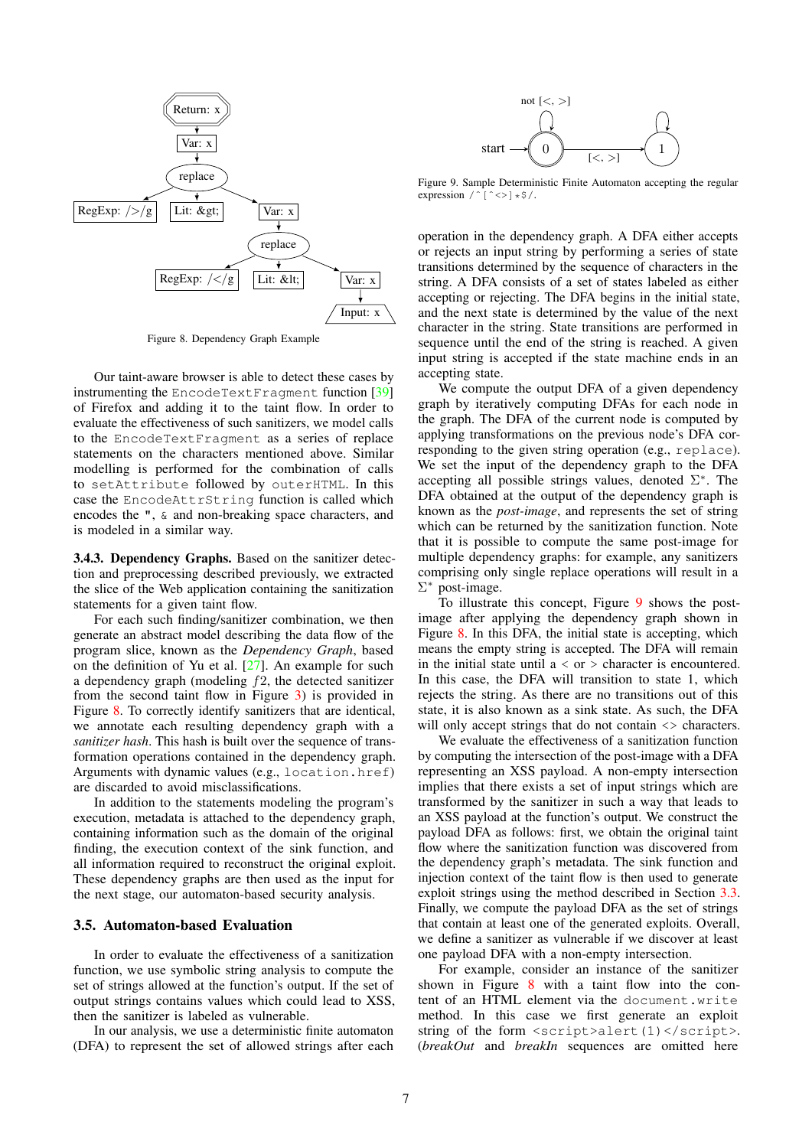

Figure 8. Dependency Graph Example

Our taint-aware browser is able to detect these cases by instrumenting the EncodeTextFragment function [\[39\]](#page-14-32) of Firefox and adding it to the taint flow. In order to evaluate the effectiveness of such sanitizers, we model calls to the EncodeTextFragment as a series of replace statements on the characters mentioned above. Similar modelling is performed for the combination of calls to setAttribute followed by outerHTML. In this case the EncodeAttrString function is called which encodes the ", & and non-breaking space characters, and is modeled in a similar way.

<span id="page-6-3"></span>3.4.3. Dependency Graphs. Based on the sanitizer detection and preprocessing described previously, we extracted the slice of the Web application containing the sanitization statements for a given taint flow.

For each such finding/sanitizer combination, we then generate an abstract model describing the data flow of the program slice, known as the *Dependency Graph*, based on the definition of Yu et al. [\[27\]](#page-14-20). An example for such a dependency graph (modeling  $f2$ , the detected sanitizer from the second taint flow in Figure [3\)](#page-4-2) is provided in Figure [8.](#page-6-1) To correctly identify sanitizers that are identical, we annotate each resulting dependency graph with a *sanitizer hash*. This hash is built over the sequence of transformation operations contained in the dependency graph. Arguments with dynamic values (e.g., location.href) are discarded to avoid misclassifications.

In addition to the statements modeling the program's execution, metadata is attached to the dependency graph, containing information such as the domain of the original finding, the execution context of the sink function, and all information required to reconstruct the original exploit. These dependency graphs are then used as the input for the next stage, our automaton-based security analysis.

#### <span id="page-6-0"></span>3.5. Automaton-based Evaluation

In order to evaluate the effectiveness of a sanitization function, we use symbolic string analysis to compute the set of strings allowed at the function's output. If the set of output strings contains values which could lead to XSS, then the sanitizer is labeled as vulnerable.

In our analysis, we use a deterministic finite automaton (DFA) to represent the set of allowed strings after each

<span id="page-6-2"></span>

Figure 9. Sample Deterministic Finite Automaton accepting the regular expression  $\angle \cap [\triangle \rangle \times \$  /.

operation in the dependency graph. A DFA either accepts or rejects an input string by performing a series of state transitions determined by the sequence of characters in the string. A DFA consists of a set of states labeled as either accepting or rejecting. The DFA begins in the initial state, and the next state is determined by the value of the next character in the string. State transitions are performed in sequence until the end of the string is reached. A given input string is accepted if the state machine ends in an accepting state.

<span id="page-6-1"></span>We compute the output DFA of a given dependency graph by iteratively computing DFAs for each node in the graph. The DFA of the current node is computed by applying transformations on the previous node's DFA corresponding to the given string operation (e.g., replace). We set the input of the dependency graph to the DFA accepting all possible strings values, denoted  $\Sigma^*$ . The DFA obtained at the output of the dependency graph is known as the *post-image*, and represents the set of string which can be returned by the sanitization function. Note that it is possible to compute the same post-image for multiple dependency graphs: for example, any sanitizers comprising only single replace operations will result in a Σ <sup>∗</sup> post-image.

To illustrate this concept, Figure [9](#page-6-2) shows the postimage after applying the dependency graph shown in Figure [8.](#page-6-1) In this DFA, the initial state is accepting, which means the empty string is accepted. The DFA will remain in the initial state until  $a < or >$  character is encountered. In this case, the DFA will transition to state 1, which rejects the string. As there are no transitions out of this state, it is also known as a sink state. As such, the DFA will only accept strings that do not contain  $\langle \rangle$  characters.

We evaluate the effectiveness of a sanitization function by computing the intersection of the post-image with a DFA representing an XSS payload. A non-empty intersection implies that there exists a set of input strings which are transformed by the sanitizer in such a way that leads to an XSS payload at the function's output. We construct the payload DFA as follows: first, we obtain the original taint flow where the sanitization function was discovered from the dependency graph's metadata. The sink function and injection context of the taint flow is then used to generate exploit strings using the method described in Section [3.3.](#page-4-0) Finally, we compute the payload DFA as the set of strings that contain at least one of the generated exploits. Overall, we define a sanitizer as vulnerable if we discover at least one payload DFA with a non-empty intersection.

For example, consider an instance of the sanitizer shown in Figure [8](#page-6-1) with a taint flow into the content of an HTML element via the document.write method. In this case we first generate an exploit string of the form <script>alert(1)</script>. (*breakOut* and *breakIn* sequences are omitted here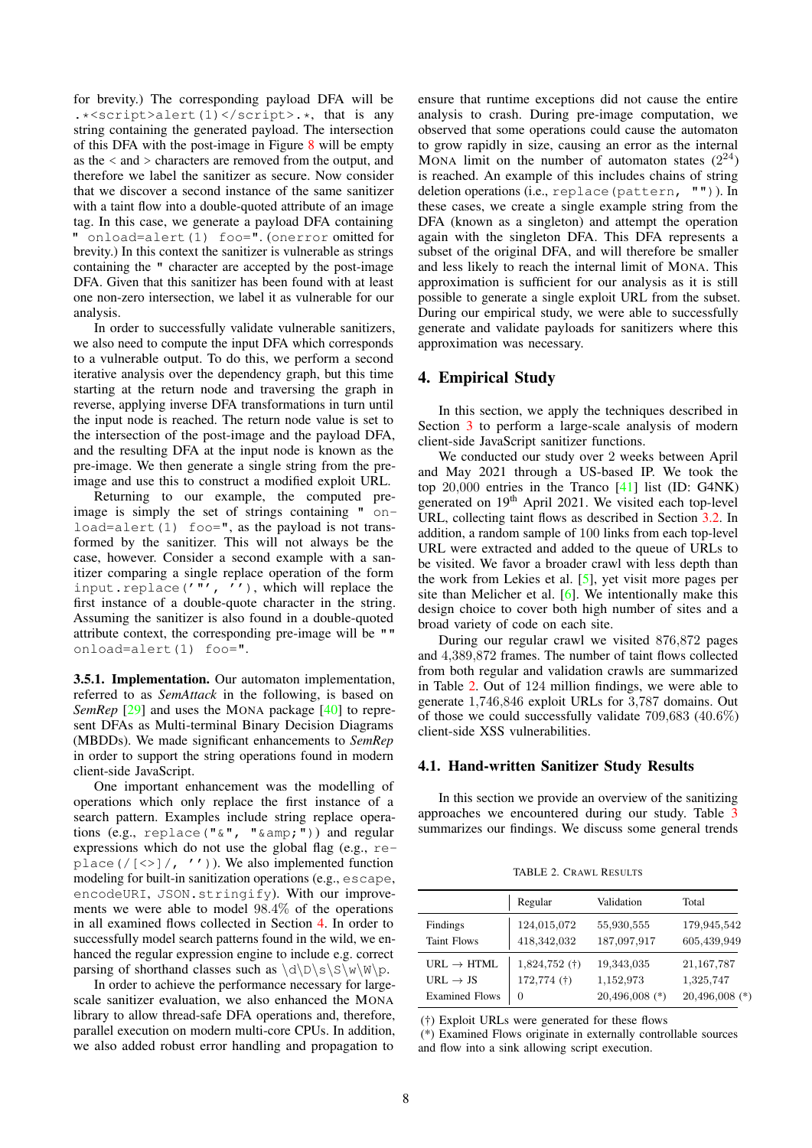for brevity.) The corresponding payload DFA will be .\*<script>alert(1)</script>.\*, that is any string containing the generated payload. The intersection of this DFA with the post-image in Figure [8](#page-6-1) will be empty as the < and > characters are removed from the output, and therefore we label the sanitizer as secure. Now consider that we discover a second instance of the same sanitizer with a taint flow into a double-quoted attribute of an image tag. In this case, we generate a payload DFA containing " onload=alert(1) foo=". (onerror omitted for brevity.) In this context the sanitizer is vulnerable as strings containing the " character are accepted by the post-image DFA. Given that this sanitizer has been found with at least one non-zero intersection, we label it as vulnerable for our analysis.

In order to successfully validate vulnerable sanitizers, we also need to compute the input DFA which corresponds to a vulnerable output. To do this, we perform a second iterative analysis over the dependency graph, but this time starting at the return node and traversing the graph in reverse, applying inverse DFA transformations in turn until the input node is reached. The return node value is set to the intersection of the post-image and the payload DFA, and the resulting DFA at the input node is known as the pre-image. We then generate a single string from the preimage and use this to construct a modified exploit URL.

Returning to our example, the computed preimage is simply the set of strings containing " onload=alert(1) foo=", as the payload is not transformed by the sanitizer. This will not always be the case, however. Consider a second example with a sanitizer comparing a single replace operation of the form input.replace( $'''$ ,  $'$ ), which will replace the first instance of a double-quote character in the string. Assuming the sanitizer is also found in a double-quoted attribute context, the corresponding pre-image will be "" onload=alert(1) foo=".

3.5.1. Implementation. Our automaton implementation, referred to as *SemAttack* in the following, is based on *SemRep* [\[29\]](#page-14-22) and uses the MONA package [\[40\]](#page-14-33) to represent DFAs as Multi-terminal Binary Decision Diagrams (MBDDs). We made significant enhancements to *SemRep* in order to support the string operations found in modern client-side JavaScript.

One important enhancement was the modelling of operations which only replace the first instance of a search pattern. Examples include string replace operations (e.g., replace("&", "&")) and regular expressions which do not use the global flag (e.g., replace  $(\sqrt{[\langle \rangle]}/\sqrt{I'})$ ). We also implemented function modeling for built-in sanitization operations (e.g., escape, encodeURI, JSON.stringify). With our improvements we were able to model 98.4% of the operations in all examined flows collected in Section [4.](#page-7-0) In order to successfully model search patterns found in the wild, we enhanced the regular expression engine to include e.g. correct parsing of shorthand classes such as  $\d\Delta\mathbb{D}\s\$ \w\wedge\mathbb{W}\sp.

In order to achieve the performance necessary for largescale sanitizer evaluation, we also enhanced the MONA library to allow thread-safe DFA operations and, therefore, parallel execution on modern multi-core CPUs. In addition, we also added robust error handling and propagation to ensure that runtime exceptions did not cause the entire analysis to crash. During pre-image computation, we observed that some operations could cause the automaton to grow rapidly in size, causing an error as the internal MONA limit on the number of automaton states  $(2^{24})$ is reached. An example of this includes chains of string deletion operations (i.e., replace(pattern, "")). In these cases, we create a single example string from the DFA (known as a singleton) and attempt the operation again with the singleton DFA. This DFA represents a subset of the original DFA, and will therefore be smaller and less likely to reach the internal limit of MONA. This approximation is sufficient for our analysis as it is still possible to generate a single exploit URL from the subset. During our empirical study, we were able to successfully generate and validate payloads for sanitizers where this approximation was necessary.

## <span id="page-7-0"></span>4. Empirical Study

In this section, we apply the techniques described in Section [3](#page-2-2) to perform a large-scale analysis of modern client-side JavaScript sanitizer functions.

We conducted our study over 2 weeks between April and May 2021 through a US-based IP. We took the top 20,000 entries in the Tranco [\[41\]](#page-14-34) list (ID: [G4NK\)](https://tranco-list.eu/list/G4NK/20000{}) generated on 19th April 2021. We visited each top-level URL, collecting taint flows as described in Section [3.2.](#page-3-1) In addition, a random sample of 100 links from each top-level URL were extracted and added to the queue of URLs to be visited. We favor a broader crawl with less depth than the work from Lekies et al. [\[5\]](#page-13-4), yet visit more pages per site than Melicher et al. [\[6\]](#page-13-5). We intentionally make this design choice to cover both high number of sites and a broad variety of code on each site.

During our regular crawl we visited 876,872 pages and 4,389,872 frames. The number of taint flows collected from both regular and validation crawls are summarized in Table [2.](#page-7-1) Out of 124 million findings, we were able to generate 1,746,846 exploit URLs for 3,787 domains. Out of those we could successfully validate 709,683 (40.6%) client-side XSS vulnerabilities.

## 4.1. Hand-written Sanitizer Study Results

In this section we provide an overview of the sanitizing approaches we encountered during our study. Table [3](#page-8-0) summarizes our findings. We discuss some general trends

|  | TABLE 2. CRAWL RESULTS |  |
|--|------------------------|--|
|  |                        |  |

<span id="page-7-1"></span>

|                                                | Regular                          | Validation                | Total                      |
|------------------------------------------------|----------------------------------|---------------------------|----------------------------|
| Findings<br><b>Taint Flows</b>                 | 124,015,072<br>418,342,032       | 55,930,555<br>187,097,917 | 179,945,542<br>605,439,949 |
| URL $\rightarrow$ HTML<br>URL $\rightarrow$ JS | $1,824,752$ (†)<br>$172,774$ (†) | 19,343,035<br>1,152,973   | 21, 167, 787<br>1,325,747  |
| <b>Examined Flows</b>                          | 0                                | $20,496,008$ (*)          | 20,496,008                 |

(†) Exploit URLs were generated for these flows

(\*) Examined Flows originate in externally controllable sources

and flow into a sink allowing script execution.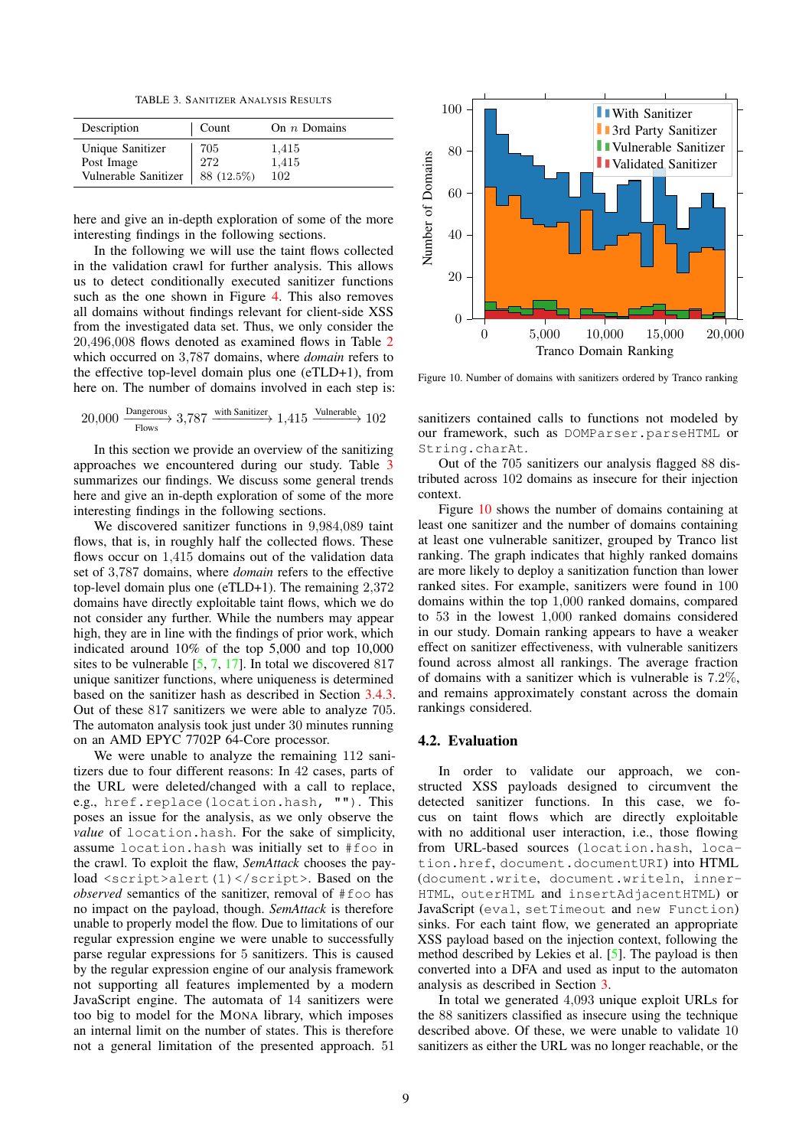TABLE 3. SANITIZER ANALYSIS RESULTS

<span id="page-8-0"></span>

| Description                                                         | Count      | On $n$ Domains        |
|---------------------------------------------------------------------|------------|-----------------------|
| Unique Sanitizer<br>Post Image<br>Vulnerable Sanitizer   88 (12.5%) | 705<br>272 | 1,415<br>1,415<br>102 |

here and give an in-depth exploration of some of the more interesting findings in the following sections.

In the following we will use the taint flows collected in the validation crawl for further analysis. This allows us to detect conditionally executed sanitizer functions such as the one shown in Figure [4.](#page-4-3) This also removes all domains without findings relevant for client-side XSS from the investigated data set. Thus, we only consider the 20,496,008 flows denoted as examined flows in Table [2](#page-7-1) which occurred on 3,787 domains, where *domain* refers to the effective top-level domain plus one (eTLD+1), from here on. The number of domains involved in each step is:

$$
20{,}000 \xrightarrow[\text{Flows}]{} 3{,}787 \xrightarrow[\text{with Sanitizer}]{} 1{,}415 \xrightarrow[\text{Vulnerable}]{} 102
$$

In this section we provide an overview of the sanitizing approaches we encountered during our study. Table [3](#page-8-0) summarizes our findings. We discuss some general trends here and give an in-depth exploration of some of the more interesting findings in the following sections.

We discovered sanitizer functions in 9,984,089 taint flows, that is, in roughly half the collected flows. These flows occur on 1,415 domains out of the validation data set of 3,787 domains, where *domain* refers to the effective top-level domain plus one (eTLD+1). The remaining 2,372 domains have directly exploitable taint flows, which we do not consider any further. While the numbers may appear high, they are in line with the findings of prior work, which indicated around 10% of the top 5,000 and top 10,000 sites to be vulnerable [\[5,](#page-13-4) [7,](#page-14-0) [17\]](#page-14-10). In total we discovered 817 unique sanitizer functions, where uniqueness is determined based on the sanitizer hash as described in Section [3.4.3.](#page-6-3) Out of these 817 sanitizers we were able to analyze 705. The automaton analysis took just under 30 minutes running on an AMD EPYC 7702P 64-Core processor.

We were unable to analyze the remaining 112 sanitizers due to four different reasons: In 42 cases, parts of the URL were deleted/changed with a call to replace, e.g., href.replace(location.hash, ""). This poses an issue for the analysis, as we only observe the *value* of location.hash. For the sake of simplicity, assume location.hash was initially set to #foo in the crawl. To exploit the flaw, *SemAttack* chooses the payload <script>alert(1)</script>. Based on the *observed* semantics of the sanitizer, removal of #foo has no impact on the payload, though. *SemAttack* is therefore unable to properly model the flow. Due to limitations of our regular expression engine we were unable to successfully parse regular expressions for 5 sanitizers. This is caused by the regular expression engine of our analysis framework not supporting all features implemented by a modern JavaScript engine. The automata of 14 sanitizers were too big to model for the MONA library, which imposes an internal limit on the number of states. This is therefore not a general limitation of the presented approach. 51



<span id="page-8-1"></span>Figure 10. Number of domains with sanitizers ordered by Tranco ranking

sanitizers contained calls to functions not modeled by our framework, such as DOMParser.parseHTML or String.charAt.

Out of the 705 sanitizers our analysis flagged 88 distributed across 102 domains as insecure for their injection context.

Figure [10](#page-8-1) shows the number of domains containing at least one sanitizer and the number of domains containing at least one vulnerable sanitizer, grouped by Tranco list ranking. The graph indicates that highly ranked domains are more likely to deploy a sanitization function than lower ranked sites. For example, sanitizers were found in 100 domains within the top 1,000 ranked domains, compared to 53 in the lowest 1,000 ranked domains considered in our study. Domain ranking appears to have a weaker effect on sanitizer effectiveness, with vulnerable sanitizers found across almost all rankings. The average fraction of domains with a sanitizer which is vulnerable is 7.2%, and remains approximately constant across the domain rankings considered.

# 4.2. Evaluation

In order to validate our approach, we constructed XSS payloads designed to circumvent the detected sanitizer functions. In this case, we focus on taint flows which are directly exploitable with no additional user interaction, i.e., those flowing from URL-based sources (location.hash, location.href, document.documentURI) into HTML (document.write, document.writeln, inner-HTML, outerHTML and insertAdjacentHTML) or JavaScript (eval, setTimeout and new Function) sinks. For each taint flow, we generated an appropriate XSS payload based on the injection context, following the method described by Lekies et al. [\[5\]](#page-13-4). The payload is then converted into a DFA and used as input to the automaton analysis as described in Section [3.](#page-2-2)

In total we generated 4,093 unique exploit URLs for the 88 sanitizers classified as insecure using the technique described above. Of these, we were unable to validate 10 sanitizers as either the URL was no longer reachable, or the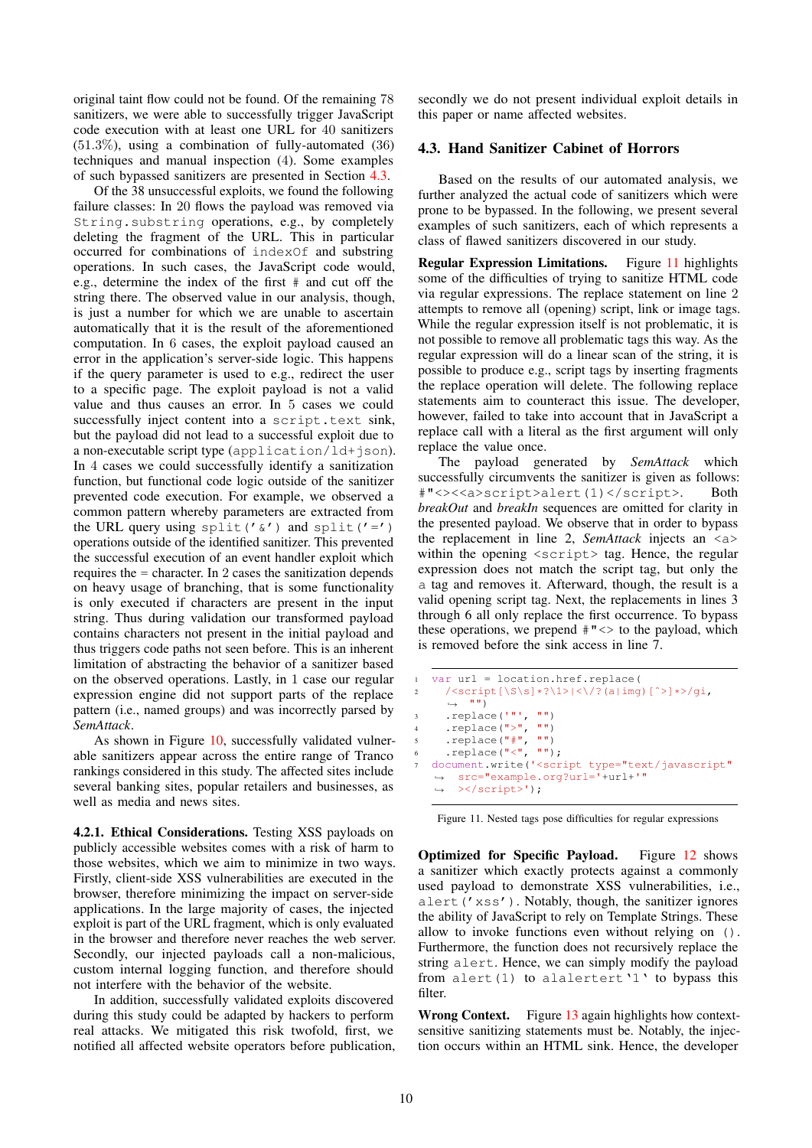original taint flow could not be found. Of the remaining 78 sanitizers, we were able to successfully trigger JavaScript code execution with at least one URL for 40 sanitizers  $(51.3\%)$ , using a combination of fully-automated  $(36)$ techniques and manual inspection (4). Some examples of such bypassed sanitizers are presented in Section [4.3.](#page-9-0)

Of the 38 unsuccessful exploits, we found the following failure classes: In 20 flows the payload was removed via String.substring operations, e.g., by completely deleting the fragment of the URL. This in particular occurred for combinations of indexOf and substring operations. In such cases, the JavaScript code would, e.g., determine the index of the first # and cut off the string there. The observed value in our analysis, though, is just a number for which we are unable to ascertain automatically that it is the result of the aforementioned computation. In 6 cases, the exploit payload caused an error in the application's server-side logic. This happens if the query parameter is used to e.g., redirect the user to a specific page. The exploit payload is not a valid value and thus causes an error. In 5 cases we could successfully inject content into a script.text sink, but the payload did not lead to a successful exploit due to a non-executable script type (application/ld+json). In 4 cases we could successfully identify a sanitization function, but functional code logic outside of the sanitizer prevented code execution. For example, we observed a common pattern whereby parameters are extracted from the URL query using split(' $\&$ ') and split('=') operations outside of the identified sanitizer. This prevented the successful execution of an event handler exploit which requires the = character. In 2 cases the sanitization depends on heavy usage of branching, that is some functionality is only executed if characters are present in the input string. Thus during validation our transformed payload contains characters not present in the initial payload and thus triggers code paths not seen before. This is an inherent limitation of abstracting the behavior of a sanitizer based on the observed operations. Lastly, in 1 case our regular expression engine did not support parts of the replace pattern (i.e., named groups) and was incorrectly parsed by *SemAttack*.

As shown in Figure [10,](#page-8-1) successfully validated vulnerable sanitizers appear across the entire range of Tranco rankings considered in this study. The affected sites include several banking sites, popular retailers and businesses, as well as media and news sites.

4.2.1. Ethical Considerations. Testing XSS payloads on publicly accessible websites comes with a risk of harm to those websites, which we aim to minimize in two ways. Firstly, client-side XSS vulnerabilities are executed in the browser, therefore minimizing the impact on server-side applications. In the large majority of cases, the injected exploit is part of the URL fragment, which is only evaluated in the browser and therefore never reaches the web server. Secondly, our injected payloads call a non-malicious, custom internal logging function, and therefore should not interfere with the behavior of the website.

In addition, successfully validated exploits discovered during this study could be adapted by hackers to perform real attacks. We mitigated this risk twofold, first, we notified all affected website operators before publication, secondly we do not present individual exploit details in this paper or name affected websites.

#### <span id="page-9-0"></span>4.3. Hand Sanitizer Cabinet of Horrors

Based on the results of our automated analysis, we further analyzed the actual code of sanitizers which were prone to be bypassed. In the following, we present several examples of such sanitizers, each of which represents a class of flawed sanitizers discovered in our study.

Regular Expression Limitations. Figure [11](#page-9-1) highlights some of the difficulties of trying to sanitize HTML code via regular expressions. The replace statement on line 2 attempts to remove all (opening) script, link or image tags. While the regular expression itself is not problematic, it is not possible to remove all problematic tags this way. As the regular expression will do a linear scan of the string, it is possible to produce e.g., script tags by inserting fragments the replace operation will delete. The following replace statements aim to counteract this issue. The developer, however, failed to take into account that in JavaScript a replace call with a literal as the first argument will only replace the value once.

The payload generated by *SemAttack* which successfully circumvents the sanitizer is given as follows: #"<><<a>script>alert(1)</script>. Both *breakOut* and *breakIn* sequences are omitted for clarity in the presented payload. We observe that in order to bypass the replacement in line 2, *SemAttack* injects an <a> within the opening  $\langle \text{script} \rangle$  tag. Hence, the regular expression does not match the script tag, but only the a tag and removes it. Afterward, though, the result is a valid opening script tag. Next, the replacements in lines 3 through 6 all only replace the first occurrence. To bypass these operations, we prepend  $\#$ " $\lt$  to the payload, which is removed before the sink access in line 7.

```
1 var url = location.href.replace(
2 /<script[\S\s]*?\1>|<\/?(a|img)[^>]*>/qi,
       \lambda \rightarrow 0.03\text{supplace}(\text{""}, \text{""})4 .replace("\rangle", ""\rangle5 \qquad \text{replace}(\texttt{"#", " "")}\sum_{r=1}^{n} . replace \binom{n}{r}, \binom{n}{r};
   document.write('<script type="text/javascript"
    src="example.org?url='+url+'"
,→
        ></script>');
    \rightarrow
```
<span id="page-9-1"></span>Figure 11. Nested tags pose difficulties for regular expressions

Optimized for Specific Payload. Figure [12](#page-10-0) shows a sanitizer which exactly protects against a commonly used payload to demonstrate XSS vulnerabilities, i.e., alert('xss'). Notably, though, the sanitizer ignores the ability of JavaScript to rely on Template Strings. These allow to invoke functions even without relying on (). Furthermore, the function does not recursively replace the string alert. Hence, we can simply modify the payload from alert $(1)$  to alalertert'<sup>1</sup>' to bypass this filter.

Wrong Context. Figure [13](#page-10-1) again highlights how contextsensitive sanitizing statements must be. Notably, the injection occurs within an HTML sink. Hence, the developer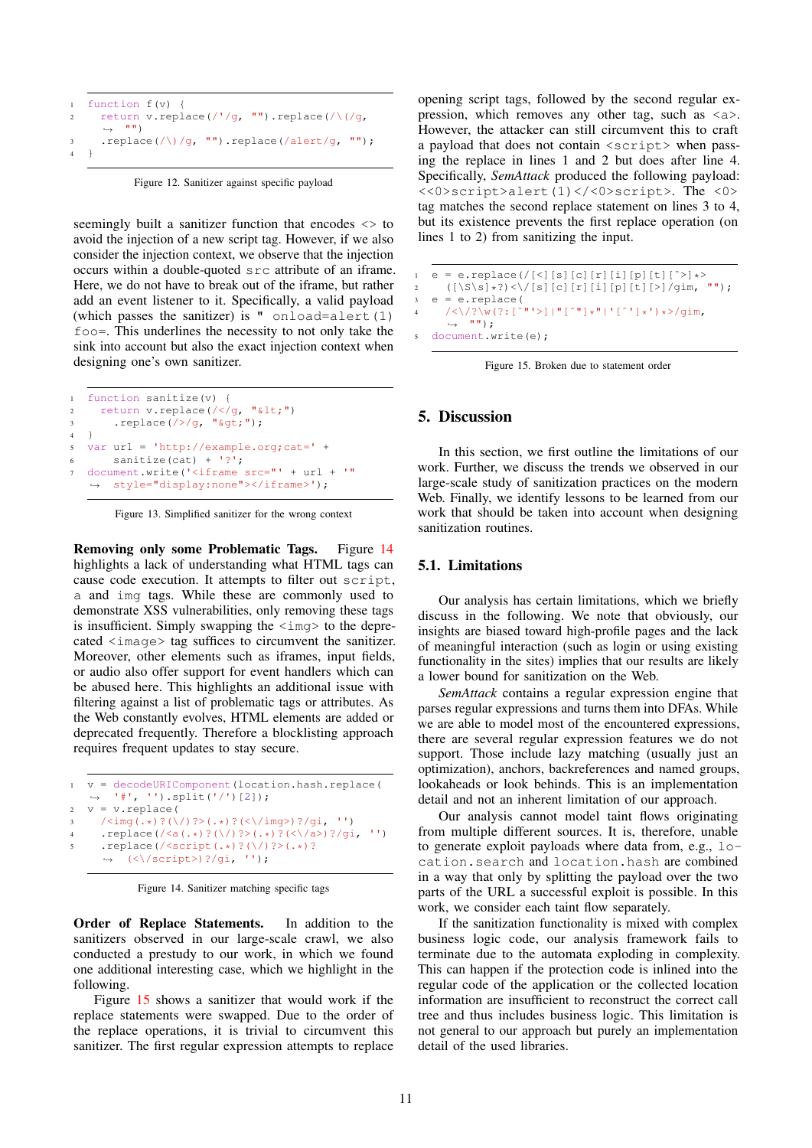```
1 function f(v) {
z return v.replace(/'/g, "").replace(/\(/g,
     \rightarrow "")
\text{Replace}(\wedge)/g, "").replace(/alert/g, "");
4 }
```
Figure 12. Sanitizer against specific payload

<span id="page-10-0"></span>seemingly built a sanitizer function that encodes <> to avoid the injection of a new script tag. However, if we also consider the injection context, we observe that the injection occurs within a double-quoted src attribute of an iframe. Here, we do not have to break out of the iframe, but rather add an event listener to it. Specifically, a valid payload (which passes the sanitizer) is  $"$  onload=alert(1) foo=. This underlines the necessity to not only take the sink into account but also the exact injection context when designing one's own sanitizer.

```
1 function sanitize(v) {
\frac{1}{2} return v.replace(/</g, "&lt;")
\cdot .replace(/>/g, "\sqrt{gt; y};
\overline{4}5 var url = 'http://example.org;cat=' +
6 sanitize(cat) + '?';
7 document.write('<iframe src="' + url + '"
   ,→ style="display:none"></iframe>');
```
<span id="page-10-1"></span>Figure 13. Simplified sanitizer for the wrong context

Removing only some Problematic Tags. Figure [14](#page-10-2) highlights a lack of understanding what HTML tags can cause code execution. It attempts to filter out script, a and img tags. While these are commonly used to demonstrate XSS vulnerabilities, only removing these tags is insufficient. Simply swapping the <img> to the deprecated <image> tag suffices to circumvent the sanitizer. Moreover, other elements such as iframes, input fields, or audio also offer support for event handlers which can be abused here. This highlights an additional issue with filtering against a list of problematic tags or attributes. As the Web constantly evolves, HTML elements are added or deprecated frequently. Therefore a blocklisting approach requires frequent updates to stay secure.

```
1 v = decodeURIComponent(location.hash.replace(
   ,→ '#', '').split('/')[2]);
2 v = v.replace(
     \frac{3}{2} /<img(.*)?(\/)?>(.*)?(<\/img>)?/gi, '')
4 .replace(/<a(.*)?(\/)?>(.*)?(<\/a>)?/gi, '')
5 .replace(/<script(.*)?(\/)?>(.*)?
     \leftrightarrow (<\/script>)?/gi, '');
```
Figure 14. Sanitizer matching specific tags

<span id="page-10-2"></span>Order of Replace Statements. In addition to the sanitizers observed in our large-scale crawl, we also conducted a prestudy to our work, in which we found one additional interesting case, which we highlight in the following.

Figure [15](#page-10-3) shows a sanitizer that would work if the replace statements were swapped. Due to the order of the replace operations, it is trivial to circumvent this sanitizer. The first regular expression attempts to replace opening script tags, followed by the second regular expression, which removes any other tag, such as  $\langle a \rangle$ . However, the attacker can still circumvent this to craft a payload that does not contain <script> when passing the replace in lines 1 and 2 but does after line 4. Specifically, *SemAttack* produced the following payload: <<0>script>alert(1)</<0>script>. The <0> tag matches the second replace statement on lines 3 to 4, but its existence prevents the first replace operation (on lines 1 to 2) from sanitizing the input.

```
1 e = e.replace(/[<][s][c][r][i][p][t][^>]*><br>2 ([\S\sl*?)<\/[s][c][r][i][p][t][>]/gim.
            (|\S\s|*?|<|\langle s|[s][c][r][i][p][t][>]/qim, "");
3 e = e.replace(
4 /\langle\langle\rangle/?\langle\mathbf{w}(?;[^{\hat{\wedge}}\mathbf{m}']\rangle] \mid \mathbf{m}[\hat{\wedge}\mathbf{m}]\star\mathbf{m} | \cdot [^{\hat{\wedge}}\mathbf{m}]\star\mathbf{m},\stackrel{\wedge}{\leftrightarrow} \stackrel{\wedge}{\cdots} "");
      document.write(e);
```
Figure 15. Broken due to statement order

#### <span id="page-10-3"></span>5. Discussion

In this section, we first outline the limitations of our work. Further, we discuss the trends we observed in our large-scale study of sanitization practices on the modern Web. Finally, we identify lessons to be learned from our work that should be taken into account when designing sanitization routines.

#### 5.1. Limitations

Our analysis has certain limitations, which we briefly discuss in the following. We note that obviously, our insights are biased toward high-profile pages and the lack of meaningful interaction (such as login or using existing functionality in the sites) implies that our results are likely a lower bound for sanitization on the Web.

*SemAttack* contains a regular expression engine that parses regular expressions and turns them into DFAs. While we are able to model most of the encountered expressions, there are several regular expression features we do not support. Those include lazy matching (usually just an optimization), anchors, backreferences and named groups, lookaheads or look behinds. This is an implementation detail and not an inherent limitation of our approach.

Our analysis cannot model taint flows originating from multiple different sources. It is, therefore, unable to generate exploit payloads where data from, e.g., location.search and location.hash are combined in a way that only by splitting the payload over the two parts of the URL a successful exploit is possible. In this work, we consider each taint flow separately.

If the sanitization functionality is mixed with complex business logic code, our analysis framework fails to terminate due to the automata exploding in complexity. This can happen if the protection code is inlined into the regular code of the application or the collected location information are insufficient to reconstruct the correct call tree and thus includes business logic. This limitation is not general to our approach but purely an implementation detail of the used libraries.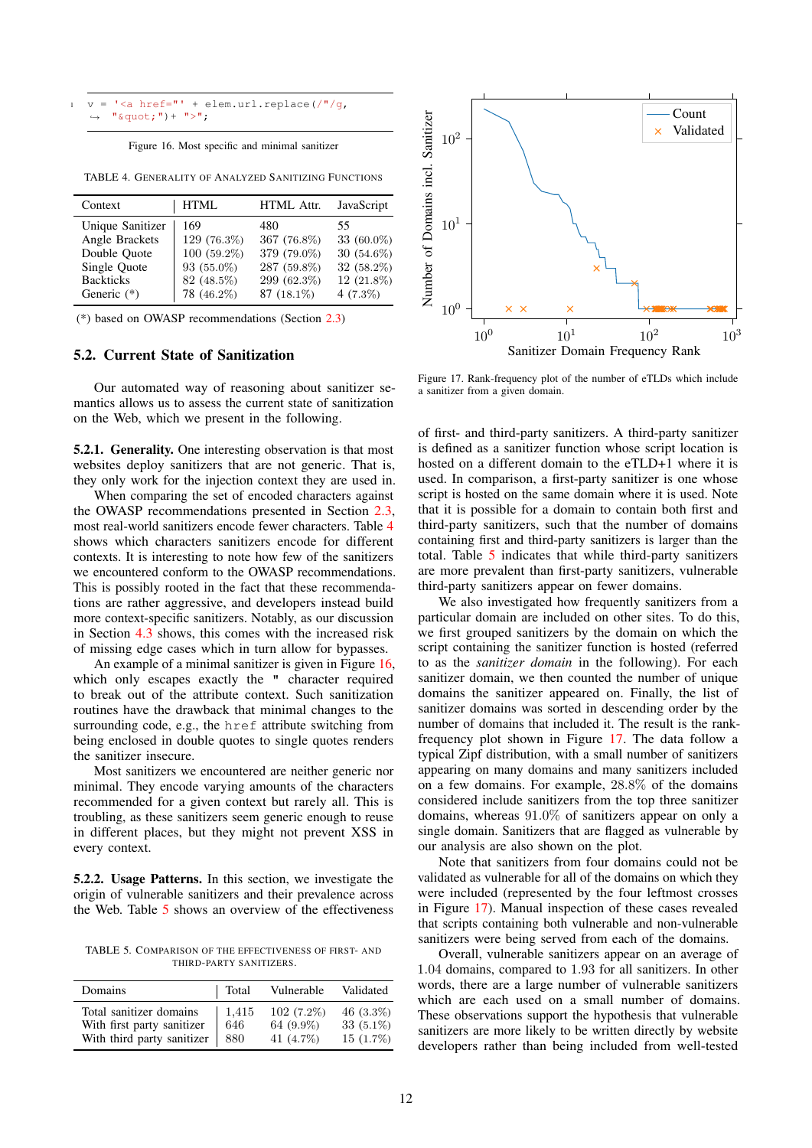```
v = '<a href="' + elem.url.replace(/"/g,
   "\&quot;")+ ">";
```
Figure 16. Most specific and minimal sanitizer

<span id="page-11-0"></span>TABLE 4. GENERALITY OF ANALYZED SANITIZING FUNCTIONS

| Context          | <b>HTML</b> | HTML Attr.  | JavaScript   |
|------------------|-------------|-------------|--------------|
| Unique Sanitizer | 169         | 480         | 55           |
| Angle Brackets   | 129 (76.3%) | 367 (76.8%) | 33 (60.0%)   |
| Double Ouote     | 100 (59.2%) | 379 (79.0%) | $30(54.6\%)$ |
| Single Quote     | 93 (55.0%)  | 287 (59.8%) | $32(58.2\%)$ |
| <b>Backticks</b> | 82 (48.5%)  | 299 (62.3%) | 12 (21.8%)   |
| Generic $(*)$    | 78 (46.2%)  | 87 (18.1%)  | $4(7.3\%)$   |

(\*) based on OWASP recommendations (Section [2.3\)](#page-2-1)

## 5.2. Current State of Sanitization

Our automated way of reasoning about sanitizer semantics allows us to assess the current state of sanitization on the Web, which we present in the following.

5.2.1. Generality. One interesting observation is that most websites deploy sanitizers that are not generic. That is, they only work for the injection context they are used in.

When comparing the set of encoded characters against the OWASP recommendations presented in Section [2.3,](#page-2-1) most real-world sanitizers encode fewer characters. Table [4](#page-11-0) shows which characters sanitizers encode for different contexts. It is interesting to note how few of the sanitizers we encountered conform to the OWASP recommendations. This is possibly rooted in the fact that these recommendations are rather aggressive, and developers instead build more context-specific sanitizers. Notably, as our discussion in Section [4.3](#page-9-0) shows, this comes with the increased risk of missing edge cases which in turn allow for bypasses.

An example of a minimal sanitizer is given in Figure [16,](#page-11-1) which only escapes exactly the " character required to break out of the attribute context. Such sanitization routines have the drawback that minimal changes to the surrounding code, e.g., the href attribute switching from being enclosed in double quotes to single quotes renders the sanitizer insecure.

Most sanitizers we encountered are neither generic nor minimal. They encode varying amounts of the characters recommended for a given context but rarely all. This is troubling, as these sanitizers seem generic enough to reuse in different places, but they might not prevent XSS in every context.

5.2.2. Usage Patterns. In this section, we investigate the origin of vulnerable sanitizers and their prevalence across the Web. Table [5](#page-11-2) shows an overview of the effectiveness

<span id="page-11-2"></span>TABLE 5. COMPARISON OF THE EFFECTIVENESS OF FIRST- AND THIRD-PARTY SANITIZERS.

| Domains                    | Total | Vulnerable   | Validated   |
|----------------------------|-------|--------------|-------------|
| Total sanitizer domains    | 1.415 | $102(7.2\%)$ | $46(3.3\%)$ |
| With first party sanitizer | 646   | 64 (9.9%)    | $33(5.1\%)$ |
| With third party sanitizer | 880   | 41 (4.7%)    | $15(1.7\%)$ |



<span id="page-11-3"></span>Figure 17. Rank-frequency plot of the number of eTLDs which include a sanitizer from a given domain.

of first- and third-party sanitizers. A third-party sanitizer is defined as a sanitizer function whose script location is hosted on a different domain to the eTLD+1 where it is used. In comparison, a first-party sanitizer is one whose script is hosted on the same domain where it is used. Note that it is possible for a domain to contain both first and third-party sanitizers, such that the number of domains containing first and third-party sanitizers is larger than the total. Table [5](#page-11-2) indicates that while third-party sanitizers are more prevalent than first-party sanitizers, vulnerable third-party sanitizers appear on fewer domains.

We also investigated how frequently sanitizers from a particular domain are included on other sites. To do this, we first grouped sanitizers by the domain on which the script containing the sanitizer function is hosted (referred to as the *sanitizer domain* in the following). For each sanitizer domain, we then counted the number of unique domains the sanitizer appeared on. Finally, the list of sanitizer domains was sorted in descending order by the number of domains that included it. The result is the rankfrequency plot shown in Figure [17.](#page-11-3) The data follow a typical Zipf distribution, with a small number of sanitizers appearing on many domains and many sanitizers included on a few domains. For example, 28.8% of the domains considered include sanitizers from the top three sanitizer domains, whereas 91.0% of sanitizers appear on only a single domain. Sanitizers that are flagged as vulnerable by our analysis are also shown on the plot.

Note that sanitizers from four domains could not be validated as vulnerable for all of the domains on which they were included (represented by the four leftmost crosses in Figure [17\)](#page-11-3). Manual inspection of these cases revealed that scripts containing both vulnerable and non-vulnerable sanitizers were being served from each of the domains.

Overall, vulnerable sanitizers appear on an average of 1.04 domains, compared to 1.93 for all sanitizers. In other words, there are a large number of vulnerable sanitizers which are each used on a small number of domains. These observations support the hypothesis that vulnerable sanitizers are more likely to be written directly by website developers rather than being included from well-tested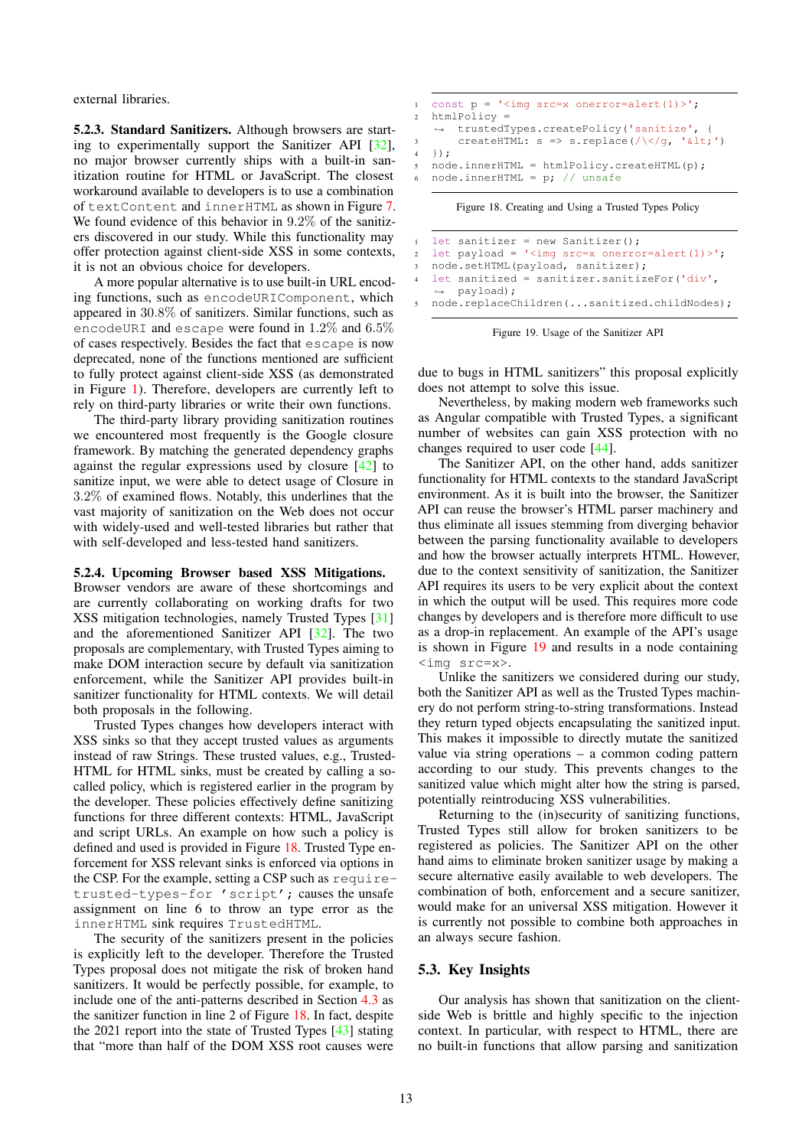external libraries.

5.2.3. Standard Sanitizers. Although browsers are starting to experimentally support the Sanitizer API [\[32\]](#page-14-25), no major browser currently ships with a built-in sanitization routine for HTML or JavaScript. The closest workaround available to developers is to use a combination of textContent and innerHTML as shown in Figure [7.](#page-5-2) We found evidence of this behavior in 9.2% of the sanitizers discovered in our study. While this functionality may offer protection against client-side XSS in some contexts, it is not an obvious choice for developers.

A more popular alternative is to use built-in URL encoding functions, such as encodeURIComponent, which appeared in 30.8% of sanitizers. Similar functions, such as encodeURI and escape were found in 1.2% and 6.5% of cases respectively. Besides the fact that escape is now deprecated, none of the functions mentioned are sufficient to fully protect against client-side XSS (as demonstrated in Figure [1\)](#page-1-0). Therefore, developers are currently left to rely on third-party libraries or write their own functions.

The third-party library providing sanitization routines we encountered most frequently is the Google closure framework. By matching the generated dependency graphs against the regular expressions used by closure [\[42\]](#page-14-35) to sanitize input, we were able to detect usage of Closure in 3.2% of examined flows. Notably, this underlines that the vast majority of sanitization on the Web does not occur with widely-used and well-tested libraries but rather that with self-developed and less-tested hand sanitizers.

#### 5.2.4. Upcoming Browser based XSS Mitigations.

Browser vendors are aware of these shortcomings and are currently collaborating on working drafts for two XSS mitigation technologies, namely Trusted Types [\[31\]](#page-14-24) and the aforementioned Sanitizer API [\[32\]](#page-14-25). The two proposals are complementary, with Trusted Types aiming to make DOM interaction secure by default via sanitization enforcement, while the Sanitizer API provides built-in sanitizer functionality for HTML contexts. We will detail both proposals in the following.

Trusted Types changes how developers interact with XSS sinks so that they accept trusted values as arguments instead of raw Strings. These trusted values, e.g., Trusted-HTML for HTML sinks, must be created by calling a socalled policy, which is registered earlier in the program by the developer. These policies effectively define sanitizing functions for three different contexts: HTML, JavaScript and script URLs. An example on how such a policy is defined and used is provided in Figure [18.](#page-12-0) Trusted Type enforcement for XSS relevant sinks is enforced via options in the CSP. For the example, setting a CSP such as requiretrusted-types-for 'script'; causes the unsafe assignment on line 6 to throw an type error as the innerHTML sink requires TrustedHTML.

The security of the sanitizers present in the policies is explicitly left to the developer. Therefore the Trusted Types proposal does not mitigate the risk of broken hand sanitizers. It would be perfectly possible, for example, to include one of the anti-patterns described in Section [4.3](#page-9-0) as the sanitizer function in line 2 of Figure [18.](#page-12-0) In fact, despite the 2021 report into the state of Trusted Types [\[43\]](#page-14-36) stating that "more than half of the DOM XSS root causes were

```
1 const p = ' \leq imq src=x onerror=alert(1)>';
2 htmlPolicy =
    ,→ trustedTypes.createPolicy('sanitize', {
         \texttt{createHTML: } s \Rightarrow s.\texttt{replace}(\texttt{/}\texttt{<}\texttt{/}\texttt{g}, \texttt{'@lt;'})4 });
5 node.innerHTML = htmlPolicy.createHTML(p);
6 node.innerHTML = p; // unsafe
```
<span id="page-12-0"></span>Figure 18. Creating and Using a Trusted Types Policy

```
1 let sanitizer = new Sanitizer();
2 let payload = '<img src=x onerror=alert(1)>';
3 node.setHTML(payload, sanitizer);
  4 let sanitized = sanitizer.sanitizeFor('div',
   ,→ payload);
5 node.replaceChildren(...sanitized.childNodes);
```
Figure 19. Usage of the Sanitizer API

<span id="page-12-1"></span>due to bugs in HTML sanitizers" this proposal explicitly does not attempt to solve this issue.

Nevertheless, by making modern web frameworks such as Angular compatible with Trusted Types, a significant number of websites can gain XSS protection with no changes required to user code [\[44\]](#page-14-37).

The Sanitizer API, on the other hand, adds sanitizer functionality for HTML contexts to the standard JavaScript environment. As it is built into the browser, the Sanitizer API can reuse the browser's HTML parser machinery and thus eliminate all issues stemming from diverging behavior between the parsing functionality available to developers and how the browser actually interprets HTML. However, due to the context sensitivity of sanitization, the Sanitizer API requires its users to be very explicit about the context in which the output will be used. This requires more code changes by developers and is therefore more difficult to use as a drop-in replacement. An example of the API's usage is shown in Figure [19](#page-12-1) and results in a node containing <img src=x>.

Unlike the sanitizers we considered during our study, both the Sanitizer API as well as the Trusted Types machinery do not perform string-to-string transformations. Instead they return typed objects encapsulating the sanitized input. This makes it impossible to directly mutate the sanitized value via string operations – a common coding pattern according to our study. This prevents changes to the sanitized value which might alter how the string is parsed, potentially reintroducing XSS vulnerabilities.

Returning to the (in)security of sanitizing functions, Trusted Types still allow for broken sanitizers to be registered as policies. The Sanitizer API on the other hand aims to eliminate broken sanitizer usage by making a secure alternative easily available to web developers. The combination of both, enforcement and a secure sanitizer, would make for an universal XSS mitigation. However it is currently not possible to combine both approaches in an always secure fashion.

#### 5.3. Key Insights

Our analysis has shown that sanitization on the clientside Web is brittle and highly specific to the injection context. In particular, with respect to HTML, there are no built-in functions that allow parsing and sanitization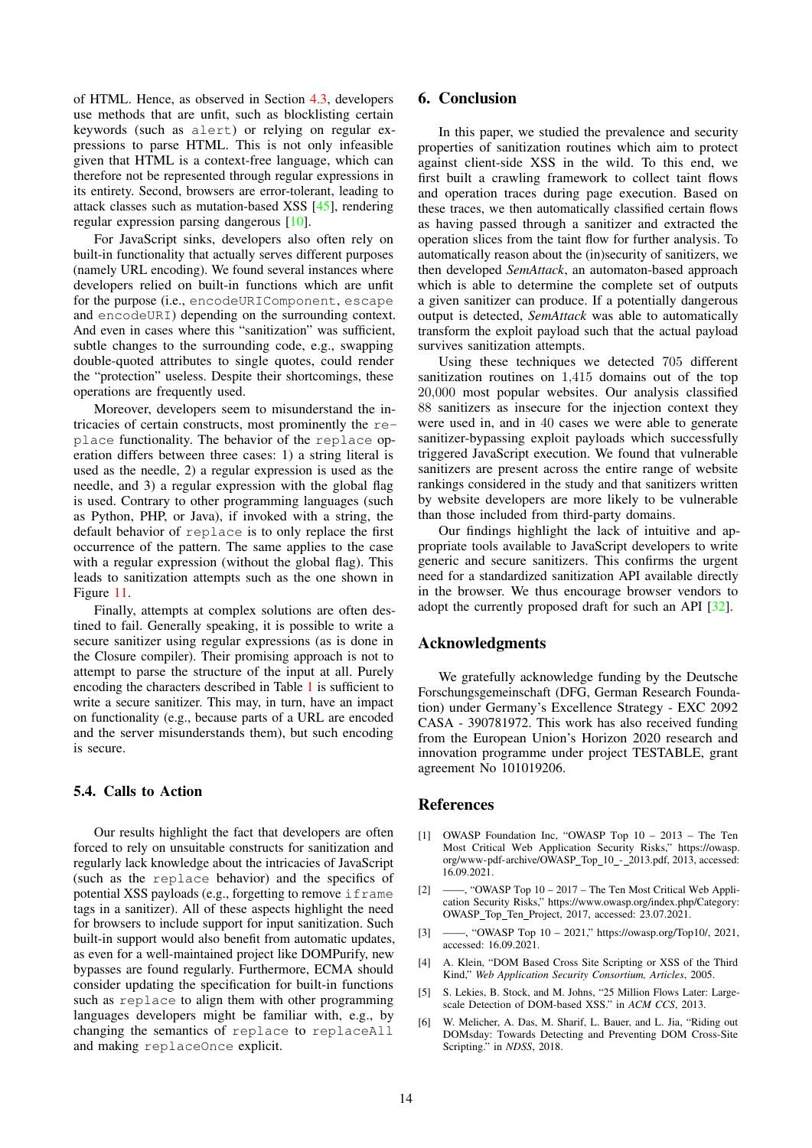of HTML. Hence, as observed in Section [4.3,](#page-9-0) developers use methods that are unfit, such as blocklisting certain keywords (such as alert) or relying on regular expressions to parse HTML. This is not only infeasible given that HTML is a context-free language, which can therefore not be represented through regular expressions in its entirety. Second, browsers are error-tolerant, leading to attack classes such as mutation-based XSS [\[45\]](#page-14-38), rendering regular expression parsing dangerous [\[10\]](#page-14-3).

For JavaScript sinks, developers also often rely on built-in functionality that actually serves different purposes (namely URL encoding). We found several instances where developers relied on built-in functions which are unfit for the purpose (i.e., encodeURIComponent, escape and encodeURI) depending on the surrounding context. And even in cases where this "sanitization" was sufficient, subtle changes to the surrounding code, e.g., swapping double-quoted attributes to single quotes, could render the "protection" useless. Despite their shortcomings, these operations are frequently used.

Moreover, developers seem to misunderstand the intricacies of certain constructs, most prominently the replace functionality. The behavior of the replace operation differs between three cases: 1) a string literal is used as the needle, 2) a regular expression is used as the needle, and 3) a regular expression with the global flag is used. Contrary to other programming languages (such as Python, PHP, or Java), if invoked with a string, the default behavior of replace is to only replace the first occurrence of the pattern. The same applies to the case with a regular expression (without the global flag). This leads to sanitization attempts such as the one shown in Figure [11.](#page-9-1)

Finally, attempts at complex solutions are often destined to fail. Generally speaking, it is possible to write a secure sanitizer using regular expressions (as is done in the Closure compiler). Their promising approach is not to attempt to parse the structure of the input at all. Purely encoding the characters described in Table [1](#page-2-0) is sufficient to write a secure sanitizer. This may, in turn, have an impact on functionality (e.g., because parts of a URL are encoded and the server misunderstands them), but such encoding is secure.

#### 5.4. Calls to Action

Our results highlight the fact that developers are often forced to rely on unsuitable constructs for sanitization and regularly lack knowledge about the intricacies of JavaScript (such as the replace behavior) and the specifics of potential XSS payloads (e.g., forgetting to remove if rame tags in a sanitizer). All of these aspects highlight the need for browsers to include support for input sanitization. Such built-in support would also benefit from automatic updates, as even for a well-maintained project like DOMPurify, new bypasses are found regularly. Furthermore, ECMA should consider updating the specification for built-in functions such as replace to align them with other programming languages developers might be familiar with, e.g., by changing the semantics of replace to replaceAll and making replaceOnce explicit.

# 6. Conclusion

In this paper, we studied the prevalence and security properties of sanitization routines which aim to protect against client-side XSS in the wild. To this end, we first built a crawling framework to collect taint flows and operation traces during page execution. Based on these traces, we then automatically classified certain flows as having passed through a sanitizer and extracted the operation slices from the taint flow for further analysis. To automatically reason about the (in)security of sanitizers, we then developed *SemAttack*, an automaton-based approach which is able to determine the complete set of outputs a given sanitizer can produce. If a potentially dangerous output is detected, *SemAttack* was able to automatically transform the exploit payload such that the actual payload survives sanitization attempts.

Using these techniques we detected 705 different sanitization routines on 1,415 domains out of the top 20,000 most popular websites. Our analysis classified 88 sanitizers as insecure for the injection context they were used in, and in 40 cases we were able to generate sanitizer-bypassing exploit payloads which successfully triggered JavaScript execution. We found that vulnerable sanitizers are present across the entire range of website rankings considered in the study and that sanitizers written by website developers are more likely to be vulnerable than those included from third-party domains.

Our findings highlight the lack of intuitive and appropriate tools available to JavaScript developers to write generic and secure sanitizers. This confirms the urgent need for a standardized sanitization API available directly in the browser. We thus encourage browser vendors to adopt the currently proposed draft for such an API [\[32\]](#page-14-25).

# Acknowledgments

We gratefully acknowledge funding by the Deutsche Forschungsgemeinschaft (DFG, German Research Foundation) under Germany's Excellence Strategy - EXC 2092 CASA - 390781972. This work has also received funding from the European Union's Horizon 2020 research and innovation programme under project TESTABLE, grant agreement No 101019206.

# References

- <span id="page-13-0"></span>[1] OWASP Foundation Inc, "OWASP Top 10 – 2013 – The Ten Most Critical Web Application Security Risks," [https://owasp.](https://owasp.org/www-pdf-archive/OWASP_Top_10_-_2013.pdf) [org/www-pdf-archive/OWASP](https://owasp.org/www-pdf-archive/OWASP_Top_10_-_2013.pdf)\_Top\_10\_-\_2013.pdf, 2013, accessed: 16.09.2021.
- <span id="page-13-1"></span>[2] ——, "OWASP Top 10 – 2017 – The Ten Most Critical Web Application Security Risks," [https://www.owasp.org/index.php/Category:](https://www.owasp.org/index.php/Category:OWASP_Top_Ten_Project) [OWASP](https://www.owasp.org/index.php/Category:OWASP_Top_Ten_Project) Top Ten Project, 2017, accessed: 23.07.2021.
- <span id="page-13-2"></span>[3] ——, "OWASP Top 10 – 2021," [https://owasp.org/Top10/,](https://owasp.org/Top10/) 2021, accessed: 16.09.2021.
- <span id="page-13-3"></span>[4] A. Klein, "DOM Based Cross Site Scripting or XSS of the Third Kind," *Web Application Security Consortium, Articles*, 2005.
- <span id="page-13-4"></span>[5] S. Lekies, B. Stock, and M. Johns, "25 Million Flows Later: Largescale Detection of DOM-based XSS." in *ACM CCS*, 2013.
- <span id="page-13-5"></span>[6] W. Melicher, A. Das, M. Sharif, L. Bauer, and L. Jia, "Riding out DOMsday: Towards Detecting and Preventing DOM Cross-Site Scripting." in *NDSS*, 2018.